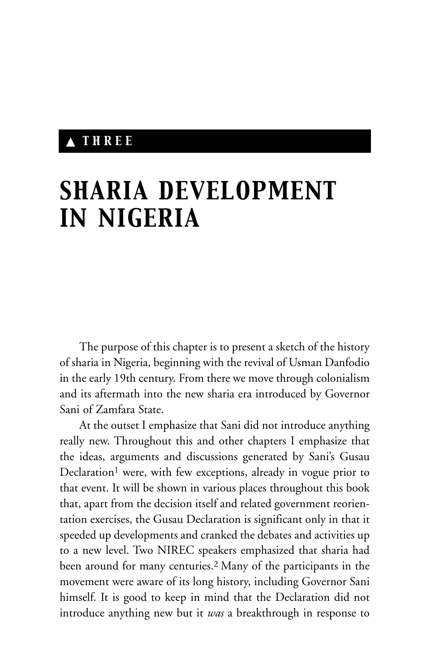## ▲ *THREE*

# *SHARIA DEVELOPMENT IN NIGERIA*

The purpose of this chapter is to present a sketch of the history of sharia in Nigeria, beginning with the revival of Usman Danfodio in the early 19th century. From there we move through colonialism and its aftermath into the new sharia era introduced by Governor Sani of Zamfara State.

At the outset I emphasize that Sani did not introduce anything really new. Throughout this and other chapters I emphasize that the ideas, arguments and discussions generated by Sani's Gusau Declaration<sup>1</sup> were, with few exceptions, already in vogue prior to that event. It will be shown in various places throughout this book that, apart from the decision itself and related government reorientation exercises, the Gusau Declaration is significant only in that it speeded up developments and cranked the debates and activities up to a new level. Two NIREC speakers emphasized that sharia had been around for many centuries.2 Many of the participants in the movement were aware of its long history, including Governor Sani himself. It is good to keep in mind that the Declaration did not introduce anything new but it *was* a breakthrough in response to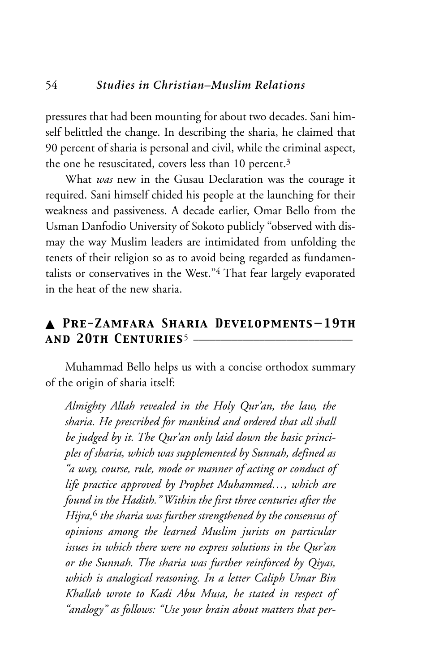pressures that had been mounting for about two decades. Sani himself belittled the change. In describing the sharia, he claimed that 90 percent of sharia is personal and civil, while the criminal aspect, the one he resuscitated, covers less than 10 percent.<sup>3</sup>

What *was* new in the Gusau Declaration was the courage it required. Sani himself chided his people at the launching for their weakness and passiveness. A decade earlier, Omar Bello from the Usman Danfodio University of Sokoto publicly "observed with dismay the way Muslim leaders are intimidated from unfolding the tenets of their religion so as to avoid being regarded as fundamentalists or conservatives in the West."4 That fear largely evaporated in the heat of the new sharia.

### ▲ *Pre-Zamfara Sharia Developments—19th and 20th Centuries*5 \_\_\_\_\_\_\_\_\_\_\_\_\_\_\_\_\_\_\_\_\_\_\_\_\_\_\_\_\_

Muhammad Bello helps us with a concise orthodox summary of the origin of sharia itself:

*Almighty Allah revealed in the Holy Qur'an, the law, the sharia. He prescribed for mankind and ordered that all shall be judged by it. The Qur'an only laid down the basic principles of sharia, which was supplemented by Sunnah, defined as "a way, course, rule, mode or manner of acting or conduct of life practice approved by Prophet Muhammed…, which are found in the Hadith." Within the first three centuries after the Hijra,*<sup>6</sup> *the sharia was further strengthened by the consensus of opinions among the learned Muslim jurists on particular issues in which there were no express solutions in the Qur'an or the Sunnah. The sharia was further reinforced by Qiyas, which is analogical reasoning. In a letter Caliph Umar Bin Khallab wrote to Kadi Abu Musa, he stated in respect of "analogy" as follows: "Use your brain about matters that per-*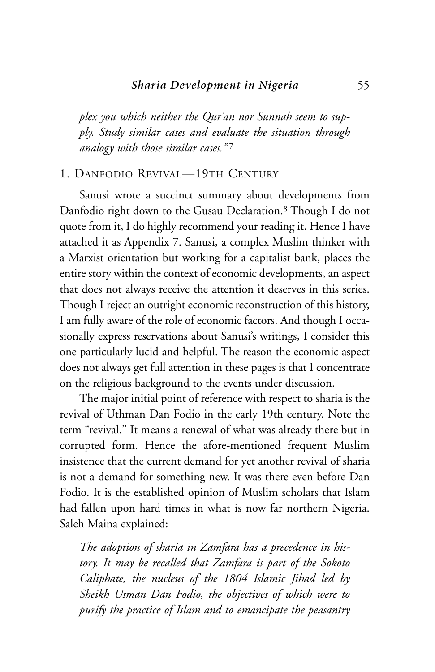*plex you which neither the Qur'an nor Sunnah seem to supply. Study similar cases and evaluate the situation through analogy with those similar cases.*"7

#### 1. DANFODIO REVIVAL—19TH CENTURY

Sanusi wrote a succinct summary about developments from Danfodio right down to the Gusau Declaration.8 Though I do not quote from it, I do highly recommend your reading it. Hence I have attached it as Appendix 7. Sanusi, a complex Muslim thinker with a Marxist orientation but working for a capitalist bank, places the entire story within the context of economic developments, an aspect that does not always receive the attention it deserves in this series. Though I reject an outright economic reconstruction of this history, I am fully aware of the role of economic factors. And though I occasionally express reservations about Sanusi's writings, I consider this one particularly lucid and helpful. The reason the economic aspect does not always get full attention in these pages is that I concentrate on the religious background to the events under discussion.

The major initial point of reference with respect to sharia is the revival of Uthman Dan Fodio in the early 19th century. Note the term "revival." It means a renewal of what was already there but in corrupted form. Hence the afore-mentioned frequent Muslim insistence that the current demand for yet another revival of sharia is not a demand for something new. It was there even before Dan Fodio. It is the established opinion of Muslim scholars that Islam had fallen upon hard times in what is now far northern Nigeria. Saleh Maina explained:

*The adoption of sharia in Zamfara has a precedence in history. It may be recalled that Zamfara is part of the Sokoto Caliphate, the nucleus of the 1804 Islamic Jihad led by Sheikh Usman Dan Fodio, the objectives of which were to purify the practice of Islam and to emancipate the peasantry*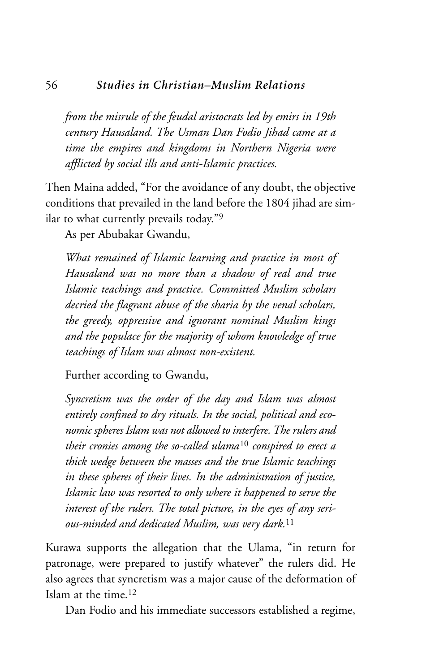#### 56 *Studies in Christian–Muslim Relations*

*from the misrule of the feudal aristocrats led by emirs in 19th century Hausaland. The Usman Dan Fodio Jihad came at a time the empires and kingdoms in Northern Nigeria were afflicted by social ills and anti-Islamic practices.*

Then Maina added, "For the avoidance of any doubt, the objective conditions that prevailed in the land before the 1804 jihad are similar to what currently prevails today."9

As per Abubakar Gwandu,

*What remained of Islamic learning and practice in most of Hausaland was no more than a shadow of real and true Islamic teachings and practice. Committed Muslim scholars decried the flagrant abuse of the sharia by the venal scholars, the greedy, oppressive and ignorant nominal Muslim kings and the populace for the majority of whom knowledge of true teachings of Islam was almost non-existent.*

Further according to Gwandu,

*Syncretism was the order of the day and Islam was almost entirely confined to dry rituals. In the social, political and economic spheres Islam was not allowed to interfere. The rulers and their cronies among the so-called ulama*<sup>10</sup> *conspired to erect a thick wedge between the masses and the true Islamic teachings in these spheres of their lives. In the administration of justice, Islamic law was resorted to only where it happened to serve the interest of the rulers. The total picture, in the eyes of any serious-minded and dedicated Muslim, was very dark.*<sup>11</sup>

Kurawa supports the allegation that the Ulama, "in return for patronage, were prepared to justify whatever" the rulers did. He also agrees that syncretism was a major cause of the deformation of Islam at the time.12

Dan Fodio and his immediate successors established a regime,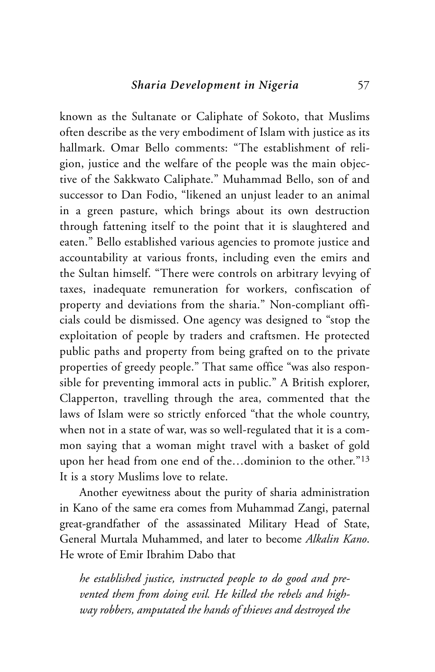known as the Sultanate or Caliphate of Sokoto, that Muslims often describe as the very embodiment of Islam with justice as its hallmark. Omar Bello comments: "The establishment of religion, justice and the welfare of the people was the main objective of the Sakkwato Caliphate." Muhammad Bello, son of and successor to Dan Fodio, "likened an unjust leader to an animal in a green pasture, which brings about its own destruction through fattening itself to the point that it is slaughtered and eaten." Bello established various agencies to promote justice and accountability at various fronts, including even the emirs and the Sultan himself. "There were controls on arbitrary levying of taxes, inadequate remuneration for workers, confiscation of property and deviations from the sharia." Non-compliant officials could be dismissed. One agency was designed to "stop the exploitation of people by traders and craftsmen. He protected public paths and property from being grafted on to the private properties of greedy people." That same office "was also responsible for preventing immoral acts in public." A British explorer, Clapperton, travelling through the area, commented that the laws of Islam were so strictly enforced "that the whole country, when not in a state of war, was so well-regulated that it is a common saying that a woman might travel with a basket of gold upon her head from one end of the…dominion to the other."13 It is a story Muslims love to relate.

Another eyewitness about the purity of sharia administration in Kano of the same era comes from Muhammad Zangi, paternal great-grandfather of the assassinated Military Head of State, General Murtala Muhammed, and later to become *Alkalin Kano*. He wrote of Emir Ibrahim Dabo that

*he established justice, instructed people to do good and prevented them from doing evil. He killed the rebels and highway robbers, amputated the hands of thieves and destroyed the*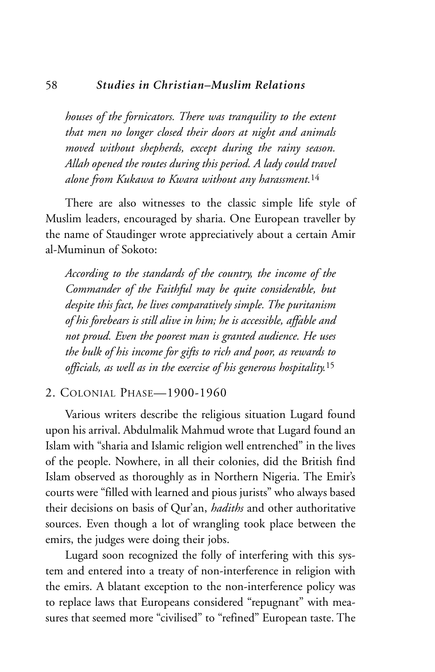#### 58 *Studies in Christian–Muslim Relations*

*houses of the fornicators. There was tranquility to the extent that men no longer closed their doors at night and animals moved without shepherds, except during the rainy season. Allah opened the routes during this period. A lady could travel alone from Kukawa to Kwara without any harassment.*<sup>14</sup>

There are also witnesses to the classic simple life style of Muslim leaders, encouraged by sharia. One European traveller by the name of Staudinger wrote appreciatively about a certain Amir al-Muminun of Sokoto:

*According to the standards of the country, the income of the Commander of the Faithful may be quite considerable, but despite this fact, he lives comparatively simple. The puritanism of his forebears is still alive in him; he is accessible, affable and not proud. Even the poorest man is granted audience. He uses the bulk of his income for gifts to rich and poor, as rewards to officials, as well as in the exercise of his generous hospitality.*<sup>15</sup>

#### 2. COLONIAL PHASE—1900-1960

Various writers describe the religious situation Lugard found upon his arrival. Abdulmalik Mahmud wrote that Lugard found an Islam with "sharia and Islamic religion well entrenched" in the lives of the people. Nowhere, in all their colonies, did the British find Islam observed as thoroughly as in Northern Nigeria. The Emir's courts were "filled with learned and pious jurists" who always based their decisions on basis of Qur'an, *hadiths* and other authoritative sources. Even though a lot of wrangling took place between the emirs, the judges were doing their jobs.

Lugard soon recognized the folly of interfering with this system and entered into a treaty of non-interference in religion with the emirs. A blatant exception to the non-interference policy was to replace laws that Europeans considered "repugnant" with measures that seemed more "civilised" to "refined" European taste. The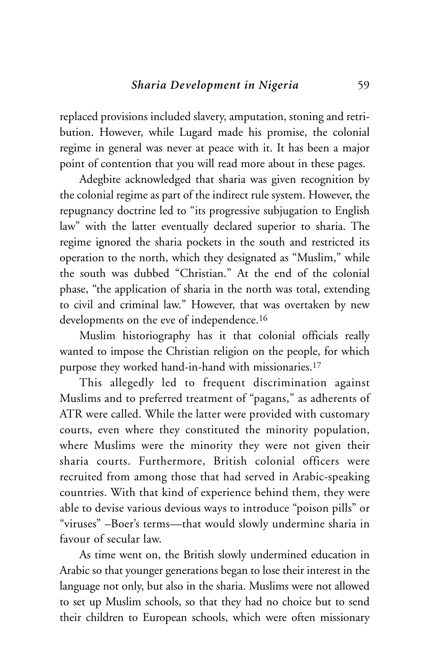replaced provisions included slavery, amputation, stoning and retribution. However, while Lugard made his promise, the colonial regime in general was never at peace with it. It has been a major point of contention that you will read more about in these pages.

Adegbite acknowledged that sharia was given recognition by the colonial regime as part of the indirect rule system. However, the repugnancy doctrine led to "its progressive subjugation to English law" with the latter eventually declared superior to sharia. The regime ignored the sharia pockets in the south and restricted its operation to the north, which they designated as "Muslim," while the south was dubbed "Christian." At the end of the colonial phase, "the application of sharia in the north was total, extending to civil and criminal law." However, that was overtaken by new developments on the eve of independence.<sup>16</sup>

Muslim historiography has it that colonial officials really wanted to impose the Christian religion on the people, for which purpose they worked hand-in-hand with missionaries.17

This allegedly led to frequent discrimination against Muslims and to preferred treatment of "pagans," as adherents of ATR were called. While the latter were provided with customary courts, even where they constituted the minority population, where Muslims were the minority they were not given their sharia courts. Furthermore, British colonial officers were recruited from among those that had served in Arabic-speaking countries. With that kind of experience behind them, they were able to devise various devious ways to introduce "poison pills" or "viruses" –Boer's terms—that would slowly undermine sharia in favour of secular law.

As time went on, the British slowly undermined education in Arabic so that younger generations began to lose their interest in the language not only, but also in the sharia. Muslims were not allowed to set up Muslim schools, so that they had no choice but to send their children to European schools, which were often missionary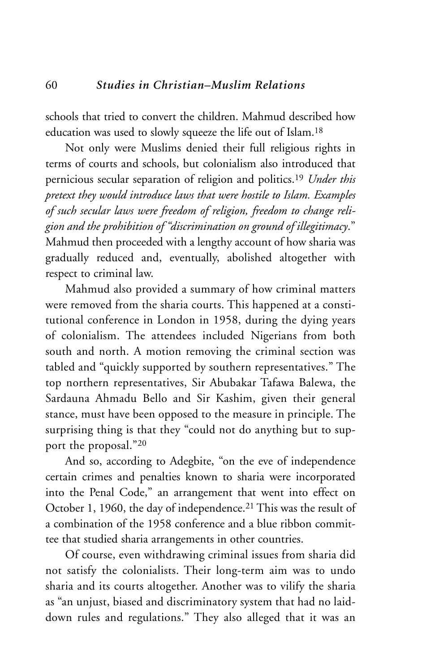schools that tried to convert the children. Mahmud described how education was used to slowly squeeze the life out of Islam.18

Not only were Muslims denied their full religious rights in terms of courts and schools, but colonialism also introduced that pernicious secular separation of religion and politics.19 *Under this pretext they would introduce laws that were hostile to Islam. Examples of such secular laws were freedom of religion, freedom to change religion and the prohibition of "discrimination on ground of illegitimacy*." Mahmud then proceeded with a lengthy account of how sharia was gradually reduced and, eventually, abolished altogether with respect to criminal law.

Mahmud also provided a summary of how criminal matters were removed from the sharia courts. This happened at a constitutional conference in London in 1958, during the dying years of colonialism. The attendees included Nigerians from both south and north. A motion removing the criminal section was tabled and "quickly supported by southern representatives." The top northern representatives, Sir Abubakar Tafawa Balewa, the Sardauna Ahmadu Bello and Sir Kashim, given their general stance, must have been opposed to the measure in principle. The surprising thing is that they "could not do anything but to support the proposal."20

And so, according to Adegbite, "on the eve of independence certain crimes and penalties known to sharia were incorporated into the Penal Code," an arrangement that went into effect on October 1, 1960, the day of independence.21 This was the result of a combination of the 1958 conference and a blue ribbon committee that studied sharia arrangements in other countries.

Of course, even withdrawing criminal issues from sharia did not satisfy the colonialists. Their long-term aim was to undo sharia and its courts altogether. Another was to vilify the sharia as "an unjust, biased and discriminatory system that had no laiddown rules and regulations." They also alleged that it was an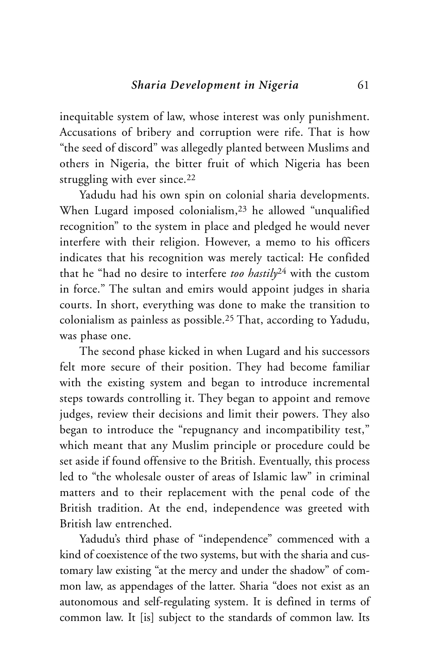inequitable system of law, whose interest was only punishment. Accusations of bribery and corruption were rife. That is how "the seed of discord" was allegedly planted between Muslims and others in Nigeria, the bitter fruit of which Nigeria has been struggling with ever since.<sup>22</sup>

Yadudu had his own spin on colonial sharia developments. When Lugard imposed colonialism,23 he allowed "unqualified recognition" to the system in place and pledged he would never interfere with their religion. However, a memo to his officers indicates that his recognition was merely tactical: He confided that he "had no desire to interfere *too hastily*<sup>24</sup> with the custom in force." The sultan and emirs would appoint judges in sharia courts. In short, everything was done to make the transition to colonialism as painless as possible.25 That, according to Yadudu, was phase one.

The second phase kicked in when Lugard and his successors felt more secure of their position. They had become familiar with the existing system and began to introduce incremental steps towards controlling it. They began to appoint and remove judges, review their decisions and limit their powers. They also began to introduce the "repugnancy and incompatibility test," which meant that any Muslim principle or procedure could be set aside if found offensive to the British. Eventually, this process led to "the wholesale ouster of areas of Islamic law" in criminal matters and to their replacement with the penal code of the British tradition. At the end, independence was greeted with British law entrenched.

Yadudu's third phase of "independence" commenced with a kind of coexistence of the two systems, but with the sharia and customary law existing "at the mercy and under the shadow" of common law, as appendages of the latter. Sharia "does not exist as an autonomous and self-regulating system. It is defined in terms of common law. It [is] subject to the standards of common law. Its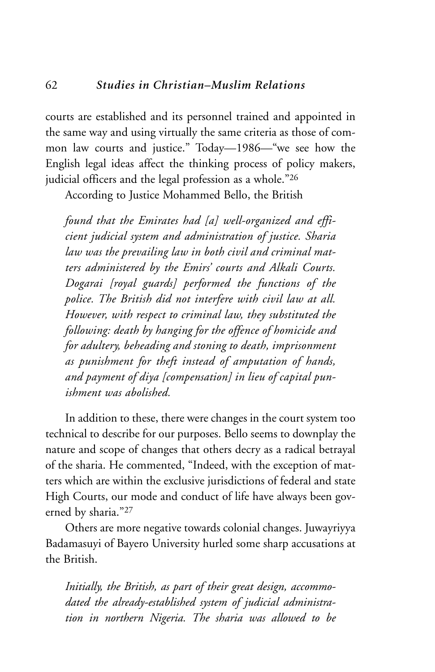courts are established and its personnel trained and appointed in the same way and using virtually the same criteria as those of common law courts and justice." Today—1986—"we see how the English legal ideas affect the thinking process of policy makers, judicial officers and the legal profession as a whole."26

According to Justice Mohammed Bello, the British

*found that the Emirates had [a] well-organized and efficient judicial system and administration of justice. Sharia law was the prevailing law in both civil and criminal matters administered by the Emirs' courts and Alkali Courts. Dogarai [royal guards] performed the functions of the police. The British did not interfere with civil law at all. However, with respect to criminal law, they substituted the following: death by hanging for the offence of homicide and for adultery, beheading and stoning to death, imprisonment as punishment for theft instead of amputation of hands, and payment of diya [compensation] in lieu of capital punishment was abolished.* 

In addition to these, there were changes in the court system too technical to describe for our purposes. Bello seems to downplay the nature and scope of changes that others decry as a radical betrayal of the sharia. He commented, "Indeed, with the exception of matters which are within the exclusive jurisdictions of federal and state High Courts, our mode and conduct of life have always been governed by sharia."27

Others are more negative towards colonial changes. Juwayriyya Badamasuyi of Bayero University hurled some sharp accusations at the British.

*Initially, the British, as part of their great design, accommodated the already-established system of judicial administration in northern Nigeria. The sharia was allowed to be*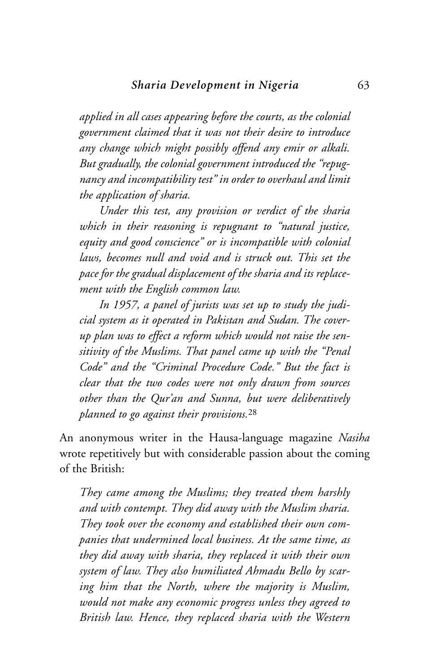*applied in all cases appearing before the courts, as the colonial government claimed that it was not their desire to introduce any change which might possibly offend any emir or alkali. But gradually, the colonial government introduced the "repugnancy and incompatibility test" in order to overhaul and limit the application of sharia.* 

*Under this test, any provision or verdict of the sharia which in their reasoning is repugnant to "natural justice, equity and good conscience" or is incompatible with colonial laws, becomes null and void and is struck out. This set the pace for the gradual displacement of the sharia and its replacement with the English common law.*

*In 1957, a panel of jurists was set up to study the judicial system as it operated in Pakistan and Sudan. The coverup plan was to effect a reform which would not raise the sensitivity of the Muslims. That panel came up with the "Penal Code" and the "Criminal Procedure Code." But the fact is clear that the two codes were not only drawn from sources other than the Qur'an and Sunna, but were deliberatively planned to go against their provisions.*<sup>28</sup>

An anonymous writer in the Hausa-language magazine *Nasiha* wrote repetitively but with considerable passion about the coming of the British:

*They came among the Muslims; they treated them harshly and with contempt. They did away with the Muslim sharia. They took over the economy and established their own companies that undermined local business. At the same time, as they did away with sharia, they replaced it with their own system of law. They also humiliated Ahmadu Bello by scaring him that the North, where the majority is Muslim, would not make any economic progress unless they agreed to British law. Hence, they replaced sharia with the Western*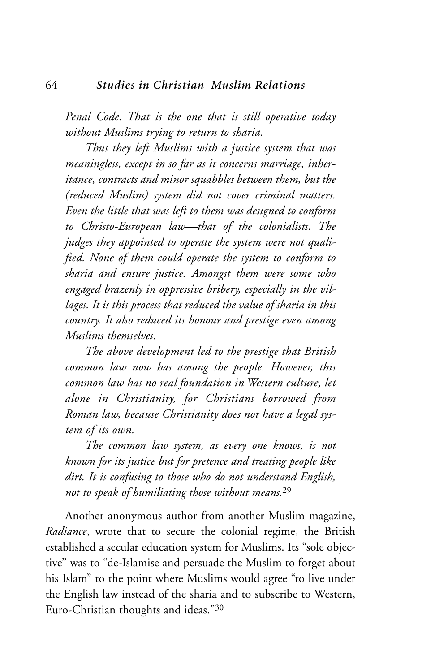*Penal Code. That is the one that is still operative today without Muslims trying to return to sharia.*

*Thus they left Muslims with a justice system that was meaningless, except in so far as it concerns marriage, inheritance, contracts and minor squabbles between them, but the (reduced Muslim) system did not cover criminal matters. Even the little that was left to them was designed to conform to Christo-European law—that of the colonialists. The judges they appointed to operate the system were not qualified. None of them could operate the system to conform to sharia and ensure justice. Amongst them were some who engaged brazenly in oppressive bribery, especially in the villages. It is this process that reduced the value of sharia in this country. It also reduced its honour and prestige even among Muslims themselves.* 

*The above development led to the prestige that British common law now has among the people. However, this common law has no real foundation in Western culture, let alone in Christianity, for Christians borrowed from Roman law, because Christianity does not have a legal system of its own.* 

*The common law system, as every one knows, is not known for its justice but for pretence and treating people like dirt. It is confusing to those who do not understand English, not to speak of humiliating those without means.*<sup>29</sup>

Another anonymous author from another Muslim magazine, *Radiance*, wrote that to secure the colonial regime, the British established a secular education system for Muslims. Its "sole objective" was to "de-Islamise and persuade the Muslim to forget about his Islam" to the point where Muslims would agree "to live under the English law instead of the sharia and to subscribe to Western, Euro-Christian thoughts and ideas."30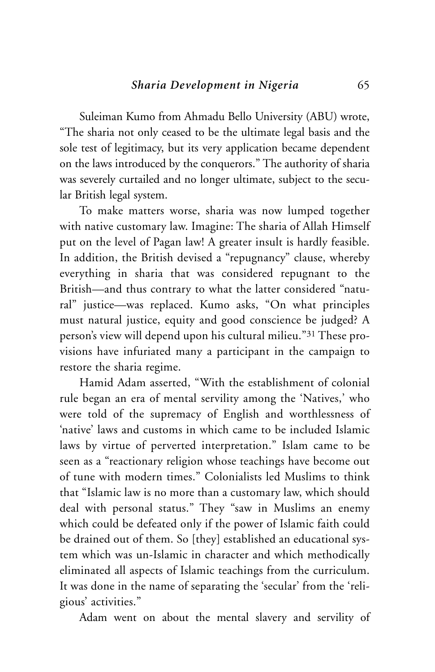Suleiman Kumo from Ahmadu Bello University (ABU) wrote, "The sharia not only ceased to be the ultimate legal basis and the sole test of legitimacy, but its very application became dependent on the laws introduced by the conquerors." The authority of sharia was severely curtailed and no longer ultimate, subject to the secular British legal system.

To make matters worse, sharia was now lumped together with native customary law. Imagine: The sharia of Allah Himself put on the level of Pagan law! A greater insult is hardly feasible. In addition, the British devised a "repugnancy" clause, whereby everything in sharia that was considered repugnant to the British—and thus contrary to what the latter considered "natural" justice—was replaced. Kumo asks, "On what principles must natural justice, equity and good conscience be judged? A person's view will depend upon his cultural milieu."31 These provisions have infuriated many a participant in the campaign to restore the sharia regime.

Hamid Adam asserted, "With the establishment of colonial rule began an era of mental servility among the 'Natives,' who were told of the supremacy of English and worthlessness of 'native' laws and customs in which came to be included Islamic laws by virtue of perverted interpretation." Islam came to be seen as a "reactionary religion whose teachings have become out of tune with modern times." Colonialists led Muslims to think that "Islamic law is no more than a customary law, which should deal with personal status." They "saw in Muslims an enemy which could be defeated only if the power of Islamic faith could be drained out of them. So [they] established an educational system which was un-Islamic in character and which methodically eliminated all aspects of Islamic teachings from the curriculum. It was done in the name of separating the 'secular' from the 'religious' activities."

Adam went on about the mental slavery and servility of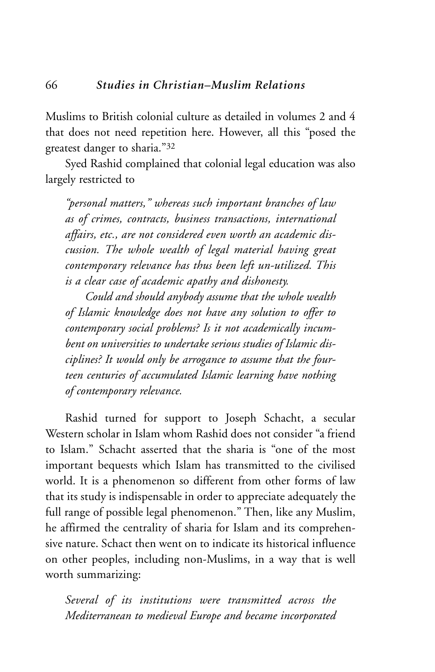Muslims to British colonial culture as detailed in volumes 2 and 4 that does not need repetition here. However, all this "posed the greatest danger to sharia."32

Syed Rashid complained that colonial legal education was also largely restricted to

*"personal matters," whereas such important branches of law as of crimes, contracts, business transactions, international affairs, etc., are not considered even worth an academic discussion. The whole wealth of legal material having great contemporary relevance has thus been left un-utilized. This is a clear case of academic apathy and dishonesty.*

*Could and should anybody assume that the whole wealth of Islamic knowledge does not have any solution to offer to contemporary social problems? Is it not academically incumbent on universities to undertake serious studies of Islamic disciplines? It would only be arrogance to assume that the fourteen centuries of accumulated Islamic learning have nothing of contemporary relevance.*

Rashid turned for support to Joseph Schacht, a secular Western scholar in Islam whom Rashid does not consider "a friend to Islam." Schacht asserted that the sharia is "one of the most important bequests which Islam has transmitted to the civilised world. It is a phenomenon so different from other forms of law that its study is indispensable in order to appreciate adequately the full range of possible legal phenomenon." Then, like any Muslim, he affirmed the centrality of sharia for Islam and its comprehensive nature. Schact then went on to indicate its historical influence on other peoples, including non-Muslims, in a way that is well worth summarizing:

*Several of its institutions were transmitted across the Mediterranean to medieval Europe and became incorporated*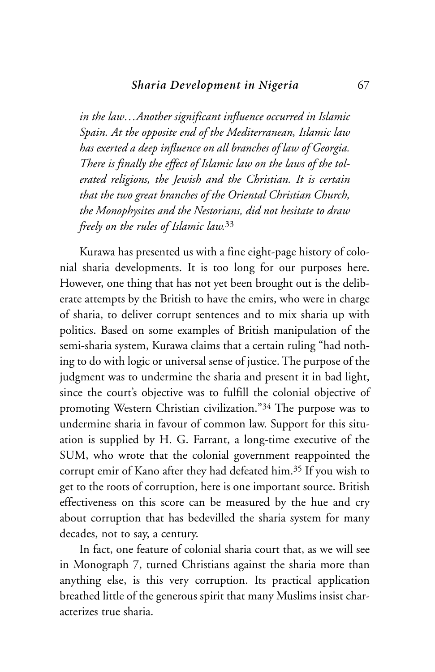*in the law…Another significant influence occurred in Islamic Spain. At the opposite end of the Mediterranean, Islamic law has exerted a deep influence on all branches of law of Georgia. There is finally the effect of Islamic law on the laws of the tolerated religions, the Jewish and the Christian. It is certain that the two great branches of the Oriental Christian Church, the Monophysites and the Nestorians, did not hesitate to draw freely on the rules of Islamic law.*<sup>33</sup>

Kurawa has presented us with a fine eight-page history of colonial sharia developments. It is too long for our purposes here. However, one thing that has not yet been brought out is the deliberate attempts by the British to have the emirs, who were in charge of sharia, to deliver corrupt sentences and to mix sharia up with politics. Based on some examples of British manipulation of the semi-sharia system, Kurawa claims that a certain ruling "had nothing to do with logic or universal sense of justice. The purpose of the judgment was to undermine the sharia and present it in bad light, since the court's objective was to fulfill the colonial objective of promoting Western Christian civilization."34 The purpose was to undermine sharia in favour of common law. Support for this situation is supplied by H. G. Farrant, a long-time executive of the SUM, who wrote that the colonial government reappointed the corrupt emir of Kano after they had defeated him.35 If you wish to get to the roots of corruption, here is one important source. British effectiveness on this score can be measured by the hue and cry about corruption that has bedevilled the sharia system for many decades, not to say, a century.

In fact, one feature of colonial sharia court that, as we will see in Monograph 7, turned Christians against the sharia more than anything else, is this very corruption. Its practical application breathed little of the generous spirit that many Muslims insist characterizes true sharia.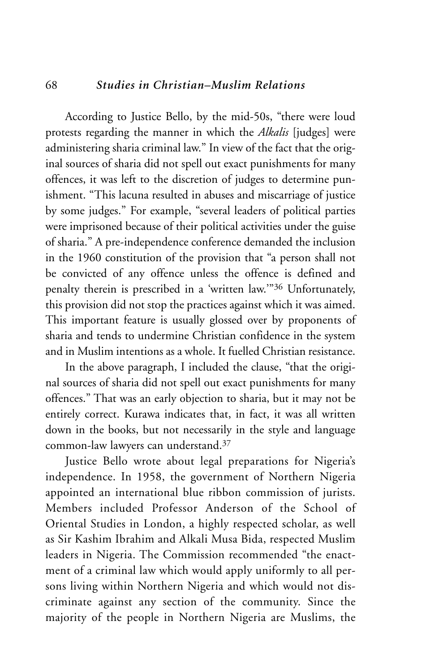#### 68 *Studies in Christian–Muslim Relations*

According to Justice Bello, by the mid-50s, "there were loud protests regarding the manner in which the *Alkalis* [judges] were administering sharia criminal law." In view of the fact that the original sources of sharia did not spell out exact punishments for many offences, it was left to the discretion of judges to determine punishment. "This lacuna resulted in abuses and miscarriage of justice by some judges." For example, "several leaders of political parties were imprisoned because of their political activities under the guise of sharia." A pre-independence conference demanded the inclusion in the 1960 constitution of the provision that "a person shall not be convicted of any offence unless the offence is defined and penalty therein is prescribed in a 'written law.'"36 Unfortunately, this provision did not stop the practices against which it was aimed. This important feature is usually glossed over by proponents of sharia and tends to undermine Christian confidence in the system and in Muslim intentions as a whole. It fuelled Christian resistance.

In the above paragraph, I included the clause, "that the original sources of sharia did not spell out exact punishments for many offences." That was an early objection to sharia, but it may not be entirely correct. Kurawa indicates that, in fact, it was all written down in the books, but not necessarily in the style and language common-law lawyers can understand.37

Justice Bello wrote about legal preparations for Nigeria's independence. In 1958, the government of Northern Nigeria appointed an international blue ribbon commission of jurists. Members included Professor Anderson of the School of Oriental Studies in London, a highly respected scholar, as well as Sir Kashim Ibrahim and Alkali Musa Bida, respected Muslim leaders in Nigeria. The Commission recommended "the enactment of a criminal law which would apply uniformly to all persons living within Northern Nigeria and which would not discriminate against any section of the community. Since the majority of the people in Northern Nigeria are Muslims, the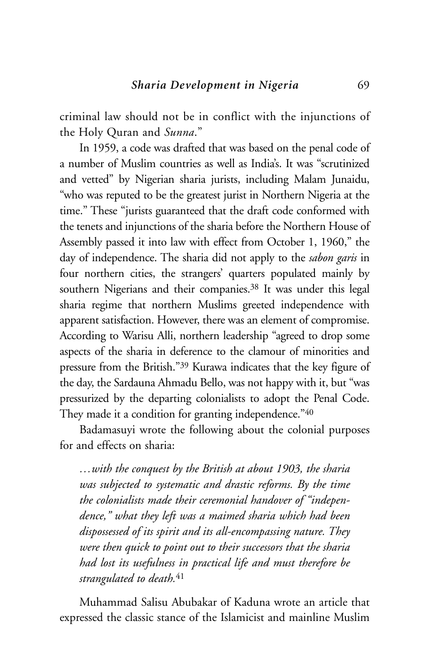criminal law should not be in conflict with the injunctions of the Holy Quran and *Sunna*."

In 1959, a code was drafted that was based on the penal code of a number of Muslim countries as well as India's. It was "scrutinized and vetted" by Nigerian sharia jurists, including Malam Junaidu, "who was reputed to be the greatest jurist in Northern Nigeria at the time." These "jurists guaranteed that the draft code conformed with the tenets and injunctions of the sharia before the Northern House of Assembly passed it into law with effect from October 1, 1960," the day of independence. The sharia did not apply to the *sabon garis* in four northern cities, the strangers' quarters populated mainly by southern Nigerians and their companies.<sup>38</sup> It was under this legal sharia regime that northern Muslims greeted independence with apparent satisfaction. However, there was an element of compromise. According to Warisu Alli, northern leadership "agreed to drop some aspects of the sharia in deference to the clamour of minorities and pressure from the British."39 Kurawa indicates that the key figure of the day, the Sardauna Ahmadu Bello, was not happy with it, but "was pressurized by the departing colonialists to adopt the Penal Code. They made it a condition for granting independence."40

Badamasuyi wrote the following about the colonial purposes for and effects on sharia:

*…with the conquest by the British at about 1903, the sharia was subjected to systematic and drastic reforms. By the time the colonialists made their ceremonial handover of "independence," what they left was a maimed sharia which had been dispossessed of its spirit and its all-encompassing nature. They were then quick to point out to their successors that the sharia had lost its usefulness in practical life and must therefore be strangulated to death.*<sup>41</sup>

Muhammad Salisu Abubakar of Kaduna wrote an article that expressed the classic stance of the Islamicist and mainline Muslim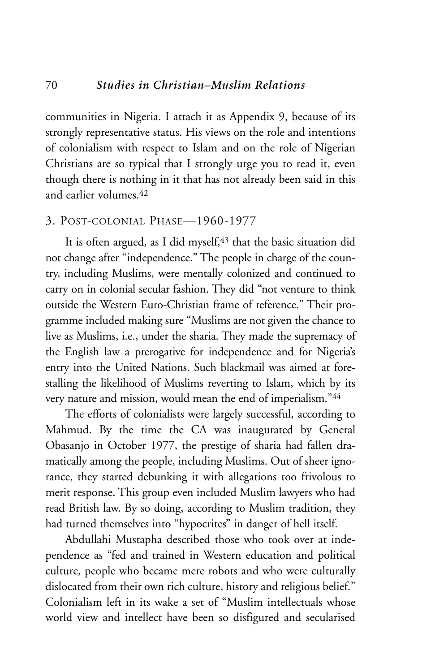communities in Nigeria. I attach it as Appendix 9, because of its strongly representative status. His views on the role and intentions of colonialism with respect to Islam and on the role of Nigerian Christians are so typical that I strongly urge you to read it, even though there is nothing in it that has not already been said in this and earlier volumes<sup>42</sup>

#### 3. POST-COLONIAL PHASE—1960-1977

It is often argued, as I did myself,<sup>43</sup> that the basic situation did not change after "independence." The people in charge of the country, including Muslims, were mentally colonized and continued to carry on in colonial secular fashion. They did "not venture to think outside the Western Euro-Christian frame of reference." Their programme included making sure "Muslims are not given the chance to live as Muslims, i.e., under the sharia. They made the supremacy of the English law a prerogative for independence and for Nigeria's entry into the United Nations. Such blackmail was aimed at forestalling the likelihood of Muslims reverting to Islam, which by its very nature and mission, would mean the end of imperialism."44

The efforts of colonialists were largely successful, according to Mahmud. By the time the CA was inaugurated by General Obasanjo in October 1977, the prestige of sharia had fallen dramatically among the people, including Muslims. Out of sheer ignorance, they started debunking it with allegations too frivolous to merit response. This group even included Muslim lawyers who had read British law. By so doing, according to Muslim tradition, they had turned themselves into "hypocrites" in danger of hell itself.

Abdullahi Mustapha described those who took over at independence as "fed and trained in Western education and political culture, people who became mere robots and who were culturally dislocated from their own rich culture, history and religious belief." Colonialism left in its wake a set of "Muslim intellectuals whose world view and intellect have been so disfigured and secularised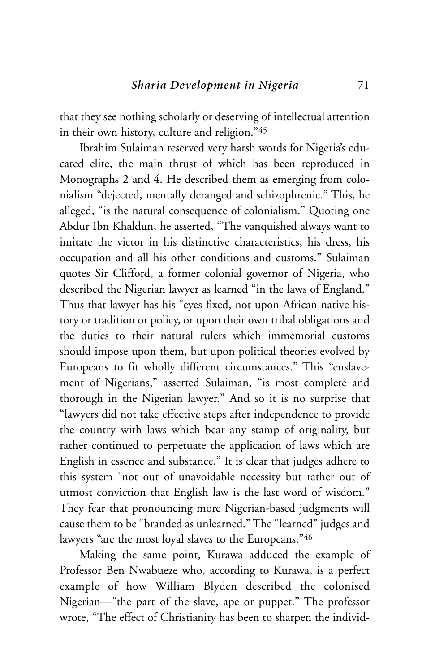that they see nothing scholarly or deserving of intellectual attention in their own history, culture and religion."45

Ibrahim Sulaiman reserved very harsh words for Nigeria's educated elite, the main thrust of which has been reproduced in Monographs 2 and 4. He described them as emerging from colonialism "dejected, mentally deranged and schizophrenic." This, he alleged, "is the natural consequence of colonialism." Quoting one Abdur Ibn Khaldun, he asserted, "The vanquished always want to imitate the victor in his distinctive characteristics, his dress, his occupation and all his other conditions and customs." Sulaiman quotes Sir Clifford, a former colonial governor of Nigeria, who described the Nigerian lawyer as learned "in the laws of England." Thus that lawyer has his "eyes fixed, not upon African native history or tradition or policy, or upon their own tribal obligations and the duties to their natural rulers which immemorial customs should impose upon them, but upon political theories evolved by Europeans to fit wholly different circumstances." This "enslavement of Nigerians," asserted Sulaiman, "is most complete and thorough in the Nigerian lawyer." And so it is no surprise that "lawyers did not take effective steps after independence to provide the country with laws which bear any stamp of originality, but rather continued to perpetuate the application of laws which are English in essence and substance." It is clear that judges adhere to this system "not out of unavoidable necessity but rather out of utmost conviction that English law is the last word of wisdom." They fear that pronouncing more Nigerian-based judgments will cause them to be "branded as unlearned." The "learned" judges and lawyers "are the most loyal slaves to the Europeans."46

Making the same point, Kurawa adduced the example of Professor Ben Nwabueze who, according to Kurawa, is a perfect example of how William Blyden described the colonised Nigerian—"the part of the slave, ape or puppet." The professor wrote, "The effect of Christianity has been to sharpen the individ-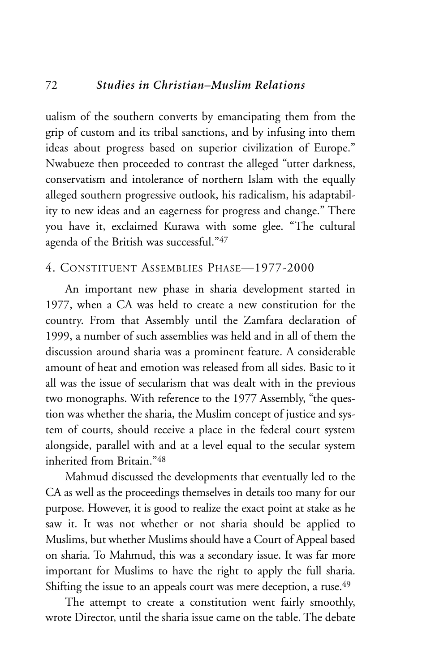ualism of the southern converts by emancipating them from the grip of custom and its tribal sanctions, and by infusing into them ideas about progress based on superior civilization of Europe." Nwabueze then proceeded to contrast the alleged "utter darkness, conservatism and intolerance of northern Islam with the equally alleged southern progressive outlook, his radicalism, his adaptability to new ideas and an eagerness for progress and change." There you have it, exclaimed Kurawa with some glee. "The cultural agenda of the British was successful."47

#### 4. CONSTITUENT ASSEMBLIES PHASE—1977-2000

An important new phase in sharia development started in 1977, when a CA was held to create a new constitution for the country. From that Assembly until the Zamfara declaration of 1999, a number of such assemblies was held and in all of them the discussion around sharia was a prominent feature. A considerable amount of heat and emotion was released from all sides. Basic to it all was the issue of secularism that was dealt with in the previous two monographs. With reference to the 1977 Assembly, "the question was whether the sharia, the Muslim concept of justice and system of courts, should receive a place in the federal court system alongside, parallel with and at a level equal to the secular system inherited from Britain<sup>"48</sup>

Mahmud discussed the developments that eventually led to the CA as well as the proceedings themselves in details too many for our purpose. However, it is good to realize the exact point at stake as he saw it. It was not whether or not sharia should be applied to Muslims, but whether Muslims should have a Court of Appeal based on sharia. To Mahmud, this was a secondary issue. It was far more important for Muslims to have the right to apply the full sharia. Shifting the issue to an appeals court was mere deception, a ruse.<sup>49</sup>

The attempt to create a constitution went fairly smoothly, wrote Director, until the sharia issue came on the table. The debate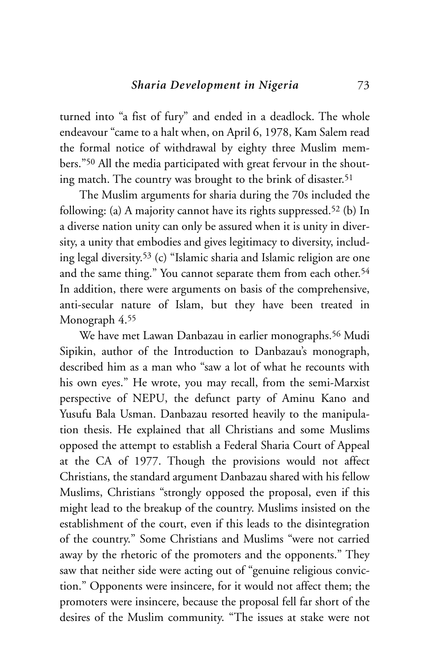turned into "a fist of fury" and ended in a deadlock. The whole endeavour "came to a halt when, on April 6, 1978, Kam Salem read the formal notice of withdrawal by eighty three Muslim members."50 All the media participated with great fervour in the shouting match. The country was brought to the brink of disaster.<sup>51</sup>

The Muslim arguments for sharia during the 70s included the following: (a) A majority cannot have its rights suppressed.52 (b) In a diverse nation unity can only be assured when it is unity in diversity, a unity that embodies and gives legitimacy to diversity, including legal diversity.53 (c) "Islamic sharia and Islamic religion are one and the same thing." You cannot separate them from each other.<sup>54</sup> In addition, there were arguments on basis of the comprehensive, anti-secular nature of Islam, but they have been treated in Monograph 4.55

We have met Lawan Danbazau in earlier monographs.56 Mudi Sipikin, author of the Introduction to Danbazau's monograph, described him as a man who "saw a lot of what he recounts with his own eyes." He wrote, you may recall, from the semi-Marxist perspective of NEPU, the defunct party of Aminu Kano and Yusufu Bala Usman. Danbazau resorted heavily to the manipulation thesis. He explained that all Christians and some Muslims opposed the attempt to establish a Federal Sharia Court of Appeal at the CA of 1977. Though the provisions would not affect Christians, the standard argument Danbazau shared with his fellow Muslims, Christians "strongly opposed the proposal, even if this might lead to the breakup of the country. Muslims insisted on the establishment of the court, even if this leads to the disintegration of the country." Some Christians and Muslims "were not carried away by the rhetoric of the promoters and the opponents." They saw that neither side were acting out of "genuine religious conviction." Opponents were insincere, for it would not affect them; the promoters were insincere, because the proposal fell far short of the desires of the Muslim community. "The issues at stake were not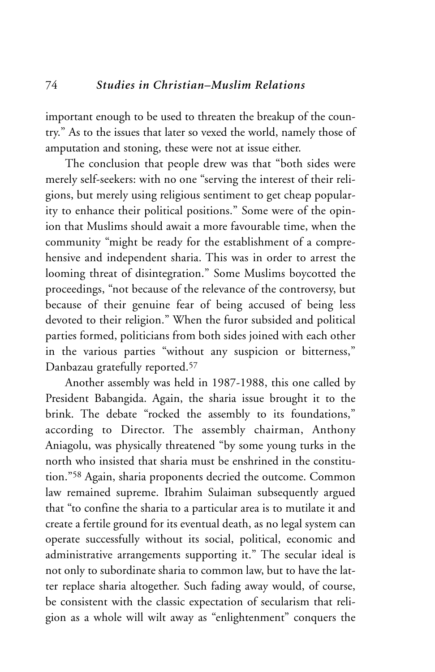important enough to be used to threaten the breakup of the country." As to the issues that later so vexed the world, namely those of amputation and stoning, these were not at issue either.

The conclusion that people drew was that "both sides were merely self-seekers: with no one "serving the interest of their religions, but merely using religious sentiment to get cheap popularity to enhance their political positions." Some were of the opinion that Muslims should await a more favourable time, when the community "might be ready for the establishment of a comprehensive and independent sharia. This was in order to arrest the looming threat of disintegration." Some Muslims boycotted the proceedings, "not because of the relevance of the controversy, but because of their genuine fear of being accused of being less devoted to their religion." When the furor subsided and political parties formed, politicians from both sides joined with each other in the various parties "without any suspicion or bitterness," Danbazau gratefully reported.57

Another assembly was held in 1987-1988, this one called by President Babangida. Again, the sharia issue brought it to the brink. The debate "rocked the assembly to its foundations," according to Director. The assembly chairman, Anthony Aniagolu, was physically threatened "by some young turks in the north who insisted that sharia must be enshrined in the constitution."58 Again, sharia proponents decried the outcome. Common law remained supreme. Ibrahim Sulaiman subsequently argued that "to confine the sharia to a particular area is to mutilate it and create a fertile ground for its eventual death, as no legal system can operate successfully without its social, political, economic and administrative arrangements supporting it." The secular ideal is not only to subordinate sharia to common law, but to have the latter replace sharia altogether. Such fading away would, of course, be consistent with the classic expectation of secularism that religion as a whole will wilt away as "enlightenment" conquers the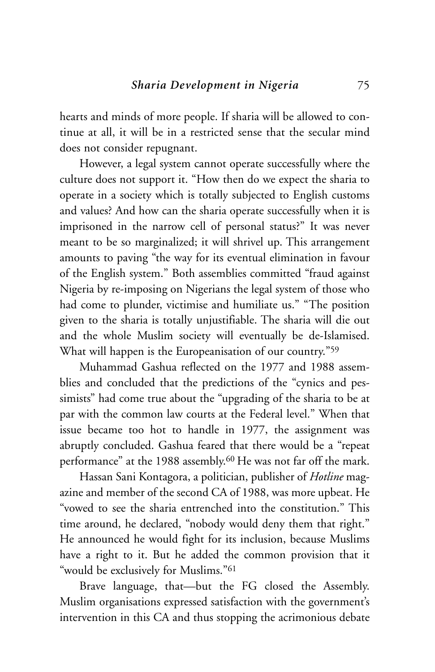hearts and minds of more people. If sharia will be allowed to continue at all, it will be in a restricted sense that the secular mind does not consider repugnant.

However, a legal system cannot operate successfully where the culture does not support it. "How then do we expect the sharia to operate in a society which is totally subjected to English customs and values? And how can the sharia operate successfully when it is imprisoned in the narrow cell of personal status?" It was never meant to be so marginalized; it will shrivel up. This arrangement amounts to paving "the way for its eventual elimination in favour of the English system." Both assemblies committed "fraud against Nigeria by re-imposing on Nigerians the legal system of those who had come to plunder, victimise and humiliate us." "The position given to the sharia is totally unjustifiable. The sharia will die out and the whole Muslim society will eventually be de-Islamised. What will happen is the Europeanisation of our country."59

Muhammad Gashua reflected on the 1977 and 1988 assemblies and concluded that the predictions of the "cynics and pessimists" had come true about the "upgrading of the sharia to be at par with the common law courts at the Federal level." When that issue became too hot to handle in 1977, the assignment was abruptly concluded. Gashua feared that there would be a "repeat performance" at the 1988 assembly.60 He was not far off the mark.

Hassan Sani Kontagora, a politician, publisher of *Hotline* magazine and member of the second CA of 1988, was more upbeat. He "vowed to see the sharia entrenched into the constitution." This time around, he declared, "nobody would deny them that right." He announced he would fight for its inclusion, because Muslims have a right to it. But he added the common provision that it "would be exclusively for Muslims."61

Brave language, that—but the FG closed the Assembly. Muslim organisations expressed satisfaction with the government's intervention in this CA and thus stopping the acrimonious debate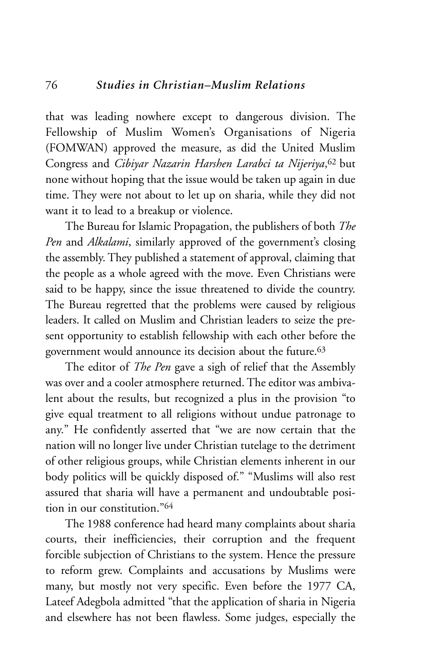that was leading nowhere except to dangerous division. The Fellowship of Muslim Women's Organisations of Nigeria (FOMWAN) approved the measure, as did the United Muslim Congress and *Cibiyar Nazarin Harshen Larabci ta Nijeriya*,62 but none without hoping that the issue would be taken up again in due time. They were not about to let up on sharia, while they did not want it to lead to a breakup or violence.

The Bureau for Islamic Propagation, the publishers of both *The Pen* and *Alkalami*, similarly approved of the government's closing the assembly. They published a statement of approval, claiming that the people as a whole agreed with the move. Even Christians were said to be happy, since the issue threatened to divide the country. The Bureau regretted that the problems were caused by religious leaders. It called on Muslim and Christian leaders to seize the present opportunity to establish fellowship with each other before the government would announce its decision about the future.63

The editor of *The Pen* gave a sigh of relief that the Assembly was over and a cooler atmosphere returned. The editor was ambivalent about the results, but recognized a plus in the provision "to give equal treatment to all religions without undue patronage to any." He confidently asserted that "we are now certain that the nation will no longer live under Christian tutelage to the detriment of other religious groups, while Christian elements inherent in our body politics will be quickly disposed of." "Muslims will also rest assured that sharia will have a permanent and undoubtable position in our constitution."64

The 1988 conference had heard many complaints about sharia courts, their inefficiencies, their corruption and the frequent forcible subjection of Christians to the system. Hence the pressure to reform grew. Complaints and accusations by Muslims were many, but mostly not very specific. Even before the 1977 CA, Lateef Adegbola admitted "that the application of sharia in Nigeria and elsewhere has not been flawless. Some judges, especially the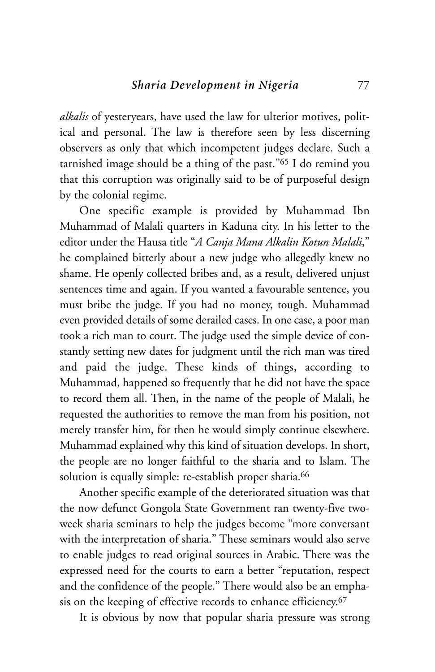*alkalis* of yesteryears, have used the law for ulterior motives, political and personal. The law is therefore seen by less discerning observers as only that which incompetent judges declare. Such a tarnished image should be a thing of the past."65 I do remind you that this corruption was originally said to be of purposeful design by the colonial regime.

One specific example is provided by Muhammad Ibn Muhammad of Malali quarters in Kaduna city. In his letter to the editor under the Hausa title "*A Canja Mana Alkalin Kotun Malali*," he complained bitterly about a new judge who allegedly knew no shame. He openly collected bribes and, as a result, delivered unjust sentences time and again. If you wanted a favourable sentence, you must bribe the judge. If you had no money, tough. Muhammad even provided details of some derailed cases. In one case, a poor man took a rich man to court. The judge used the simple device of constantly setting new dates for judgment until the rich man was tired and paid the judge. These kinds of things, according to Muhammad, happened so frequently that he did not have the space to record them all. Then, in the name of the people of Malali, he requested the authorities to remove the man from his position, not merely transfer him, for then he would simply continue elsewhere. Muhammad explained why this kind of situation develops. In short, the people are no longer faithful to the sharia and to Islam. The solution is equally simple: re-establish proper sharia.<sup>66</sup>

Another specific example of the deteriorated situation was that the now defunct Gongola State Government ran twenty-five twoweek sharia seminars to help the judges become "more conversant with the interpretation of sharia." These seminars would also serve to enable judges to read original sources in Arabic. There was the expressed need for the courts to earn a better "reputation, respect and the confidence of the people." There would also be an emphasis on the keeping of effective records to enhance efficiency.<sup>67</sup>

It is obvious by now that popular sharia pressure was strong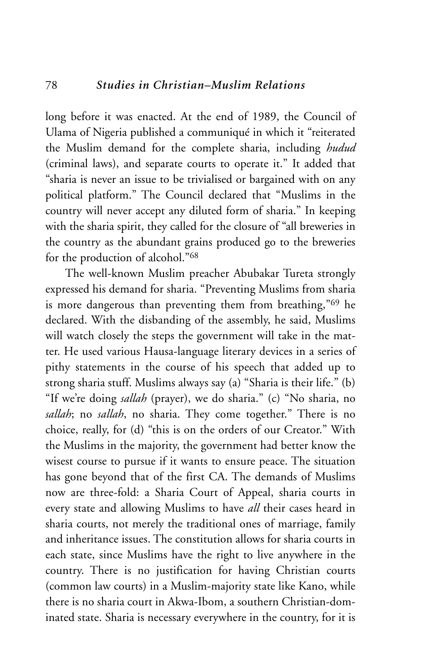long before it was enacted. At the end of 1989, the Council of Ulama of Nigeria published a communiqué in which it "reiterated the Muslim demand for the complete sharia, including *hudud* (criminal laws), and separate courts to operate it." It added that "sharia is never an issue to be trivialised or bargained with on any political platform." The Council declared that "Muslims in the country will never accept any diluted form of sharia." In keeping with the sharia spirit, they called for the closure of "all breweries in the country as the abundant grains produced go to the breweries for the production of alcohol."68

The well-known Muslim preacher Abubakar Tureta strongly expressed his demand for sharia. "Preventing Muslims from sharia is more dangerous than preventing them from breathing,"69 he declared. With the disbanding of the assembly, he said, Muslims will watch closely the steps the government will take in the matter. He used various Hausa-language literary devices in a series of pithy statements in the course of his speech that added up to strong sharia stuff. Muslims always say (a) "Sharia is their life." (b) "If we're doing *sallah* (prayer), we do sharia." (c) "No sharia, no *sallah*; no *sallah*, no sharia. They come together." There is no choice, really, for (d) "this is on the orders of our Creator." With the Muslims in the majority, the government had better know the wisest course to pursue if it wants to ensure peace. The situation has gone beyond that of the first CA. The demands of Muslims now are three-fold: a Sharia Court of Appeal, sharia courts in every state and allowing Muslims to have *all* their cases heard in sharia courts, not merely the traditional ones of marriage, family and inheritance issues. The constitution allows for sharia courts in each state, since Muslims have the right to live anywhere in the country. There is no justification for having Christian courts (common law courts) in a Muslim-majority state like Kano, while there is no sharia court in Akwa-Ibom, a southern Christian-dominated state. Sharia is necessary everywhere in the country, for it is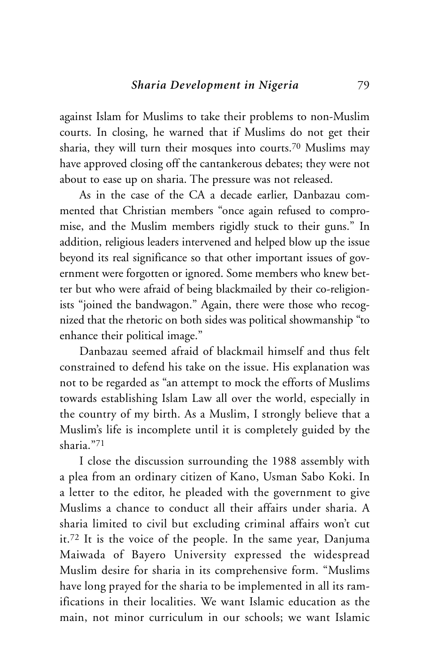against Islam for Muslims to take their problems to non-Muslim courts. In closing, he warned that if Muslims do not get their sharia, they will turn their mosques into courts.70 Muslims may have approved closing off the cantankerous debates; they were not about to ease up on sharia. The pressure was not released.

As in the case of the CA a decade earlier, Danbazau commented that Christian members "once again refused to compromise, and the Muslim members rigidly stuck to their guns." In addition, religious leaders intervened and helped blow up the issue beyond its real significance so that other important issues of government were forgotten or ignored. Some members who knew better but who were afraid of being blackmailed by their co-religionists "joined the bandwagon." Again, there were those who recognized that the rhetoric on both sides was political showmanship "to enhance their political image."

Danbazau seemed afraid of blackmail himself and thus felt constrained to defend his take on the issue. His explanation was not to be regarded as "an attempt to mock the efforts of Muslims towards establishing Islam Law all over the world, especially in the country of my birth. As a Muslim, I strongly believe that a Muslim's life is incomplete until it is completely guided by the sharia."71

I close the discussion surrounding the 1988 assembly with a plea from an ordinary citizen of Kano, Usman Sabo Koki. In a letter to the editor, he pleaded with the government to give Muslims a chance to conduct all their affairs under sharia. A sharia limited to civil but excluding criminal affairs won't cut it.72 It is the voice of the people. In the same year, Danjuma Maiwada of Bayero University expressed the widespread Muslim desire for sharia in its comprehensive form. "Muslims have long prayed for the sharia to be implemented in all its ramifications in their localities. We want Islamic education as the main, not minor curriculum in our schools; we want Islamic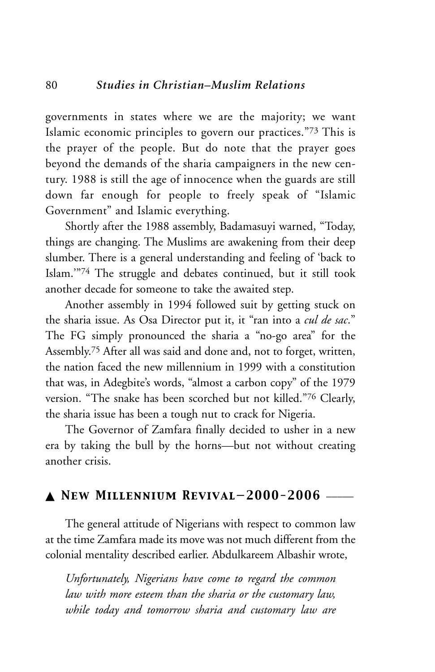governments in states where we are the majority; we want Islamic economic principles to govern our practices."73 This is the prayer of the people. But do note that the prayer goes beyond the demands of the sharia campaigners in the new century. 1988 is still the age of innocence when the guards are still down far enough for people to freely speak of "Islamic Government" and Islamic everything.

Shortly after the 1988 assembly, Badamasuyi warned, "Today, things are changing. The Muslims are awakening from their deep slumber. There is a general understanding and feeling of 'back to Islam.'"74 The struggle and debates continued, but it still took another decade for someone to take the awaited step.

Another assembly in 1994 followed suit by getting stuck on the sharia issue. As Osa Director put it, it "ran into a *cul de sac*." The FG simply pronounced the sharia a "no-go area" for the Assembly.75 After all was said and done and, not to forget, written, the nation faced the new millennium in 1999 with a constitution that was, in Adegbite's words, "almost a carbon copy" of the 1979 version. "The snake has been scorched but not killed."76 Clearly, the sharia issue has been a tough nut to crack for Nigeria.

The Governor of Zamfara finally decided to usher in a new era by taking the bull by the horns—but not without creating another crisis.

#### ▲ *New Millennium Revival—2000-2006* \_\_\_\_\_

The general attitude of Nigerians with respect to common law at the time Zamfara made its move was not much different from the colonial mentality described earlier. Abdulkareem Albashir wrote,

*Unfortunately, Nigerians have come to regard the common law with more esteem than the sharia or the customary law, while today and tomorrow sharia and customary law are*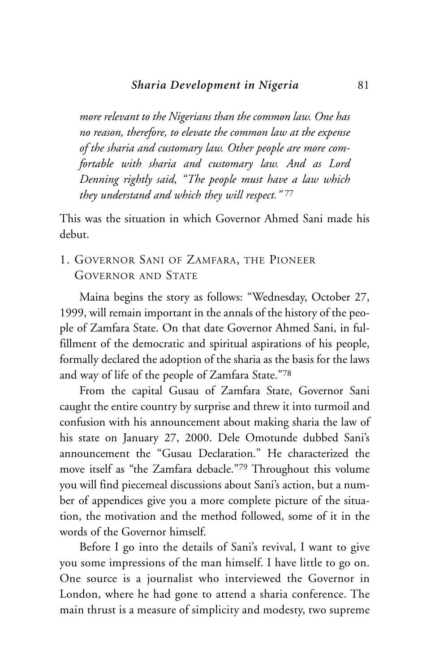*more relevant to the Nigerians than the common law. One has no reason, therefore, to elevate the common law at the expense of the sharia and customary law. Other people are more comfortable with sharia and customary law. And as Lord Denning rightly said, "The people must have a law which they understand and which they will respect."* <sup>77</sup>

This was the situation in which Governor Ahmed Sani made his debut.

1. GOVERNOR SANI OF ZAMFARA, THE PIONEER GOVERNOR AND STATE

Maina begins the story as follows: "Wednesday, October 27, 1999, will remain important in the annals of the history of the people of Zamfara State. On that date Governor Ahmed Sani, in fulfillment of the democratic and spiritual aspirations of his people, formally declared the adoption of the sharia as the basis for the laws and way of life of the people of Zamfara State."78

From the capital Gusau of Zamfara State, Governor Sani caught the entire country by surprise and threw it into turmoil and confusion with his announcement about making sharia the law of his state on January 27, 2000. Dele Omotunde dubbed Sani's announcement the "Gusau Declaration." He characterized the move itself as "the Zamfara debacle."79 Throughout this volume you will find piecemeal discussions about Sani's action, but a number of appendices give you a more complete picture of the situation, the motivation and the method followed, some of it in the words of the Governor himself.

Before I go into the details of Sani's revival, I want to give you some impressions of the man himself. I have little to go on. One source is a journalist who interviewed the Governor in London, where he had gone to attend a sharia conference. The main thrust is a measure of simplicity and modesty, two supreme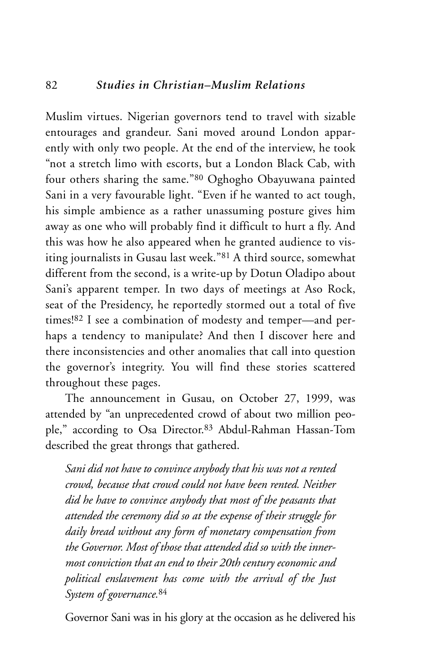Muslim virtues. Nigerian governors tend to travel with sizable entourages and grandeur. Sani moved around London apparently with only two people. At the end of the interview, he took "not a stretch limo with escorts, but a London Black Cab, with four others sharing the same."80 Oghogho Obayuwana painted Sani in a very favourable light. "Even if he wanted to act tough, his simple ambience as a rather unassuming posture gives him away as one who will probably find it difficult to hurt a fly. And this was how he also appeared when he granted audience to visiting journalists in Gusau last week."81 A third source, somewhat different from the second, is a write-up by Dotun Oladipo about Sani's apparent temper. In two days of meetings at Aso Rock, seat of the Presidency, he reportedly stormed out a total of five times!82 I see a combination of modesty and temper—and perhaps a tendency to manipulate? And then I discover here and there inconsistencies and other anomalies that call into question the governor's integrity. You will find these stories scattered throughout these pages.

The announcement in Gusau, on October 27, 1999, was attended by "an unprecedented crowd of about two million people," according to Osa Director.83 Abdul-Rahman Hassan-Tom described the great throngs that gathered.

*Sani did not have to convince anybody that his was not a rented crowd, because that crowd could not have been rented. Neither did he have to convince anybody that most of the peasants that attended the ceremony did so at the expense of their struggle for daily bread without any form of monetary compensation from the Governor. Most of those that attended did so with the innermost conviction that an end to their 20th century economic and political enslavement has come with the arrival of the Just System of governance.*<sup>84</sup>

Governor Sani was in his glory at the occasion as he delivered his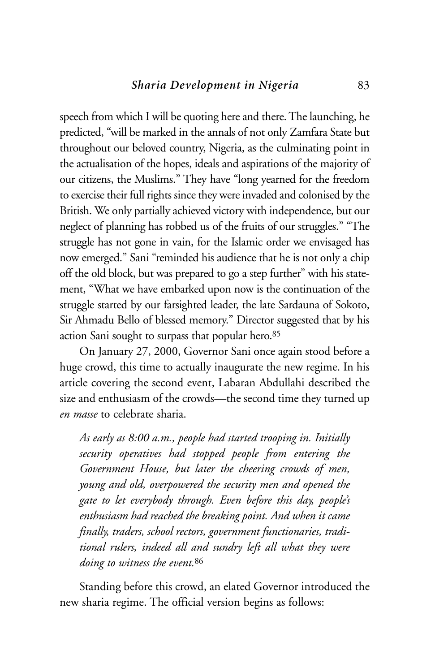speech from which I will be quoting here and there. The launching, he predicted, "will be marked in the annals of not only Zamfara State but throughout our beloved country, Nigeria, as the culminating point in the actualisation of the hopes, ideals and aspirations of the majority of our citizens, the Muslims." They have "long yearned for the freedom to exercise their full rights since they were invaded and colonised by the British. We only partially achieved victory with independence, but our neglect of planning has robbed us of the fruits of our struggles." "The struggle has not gone in vain, for the Islamic order we envisaged has now emerged." Sani "reminded his audience that he is not only a chip off the old block, but was prepared to go a step further" with his statement, "What we have embarked upon now is the continuation of the struggle started by our farsighted leader, the late Sardauna of Sokoto, Sir Ahmadu Bello of blessed memory." Director suggested that by his action Sani sought to surpass that popular hero.85

On January 27, 2000, Governor Sani once again stood before a huge crowd, this time to actually inaugurate the new regime. In his article covering the second event, Labaran Abdullahi described the size and enthusiasm of the crowds—the second time they turned up *en masse* to celebrate sharia.

*As early as 8:00 a.m., people had started trooping in. Initially security operatives had stopped people from entering the Government House, but later the cheering crowds of men, young and old, overpowered the security men and opened the gate to let everybody through. Even before this day, people's enthusiasm had reached the breaking point. And when it came finally, traders, school rectors, government functionaries, traditional rulers, indeed all and sundry left all what they were doing to witness the event.*<sup>86</sup>

Standing before this crowd, an elated Governor introduced the new sharia regime. The official version begins as follows: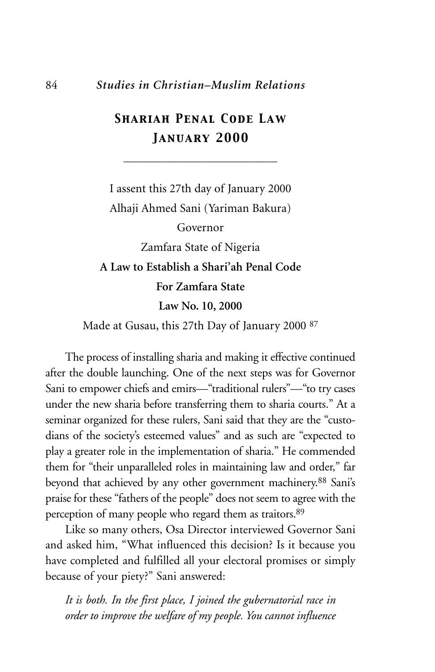#### 84 *Studies in Christian–Muslim Relations*

## *Shariah Penal Code Law January 2000*

\_\_\_\_\_\_\_\_\_\_\_\_\_\_\_\_\_\_\_\_\_\_\_\_\_\_\_\_

I assent this 27th day of January 2000 Alhaji Ahmed Sani (Yariman Bakura) Governor Zamfara State of Nigeria **A Law to Establish a Shari'ah Penal Code For Zamfara State**

**Law No. 10, 2000**

Made at Gusau, this 27th Day of January 2000 87

The process of installing sharia and making it effective continued after the double launching. One of the next steps was for Governor Sani to empower chiefs and emirs—"traditional rulers"—"to try cases under the new sharia before transferring them to sharia courts." At a seminar organized for these rulers, Sani said that they are the "custodians of the society's esteemed values" and as such are "expected to play a greater role in the implementation of sharia." He commended them for "their unparalleled roles in maintaining law and order," far beyond that achieved by any other government machinery.<sup>88</sup> Sani's praise for these "fathers of the people" does not seem to agree with the perception of many people who regard them as traitors.89

Like so many others, Osa Director interviewed Governor Sani and asked him, "What influenced this decision? Is it because you have completed and fulfilled all your electoral promises or simply because of your piety?" Sani answered:

*It is both. In the first place, I joined the gubernatorial race in order to improve the welfare of my people. You cannot influence*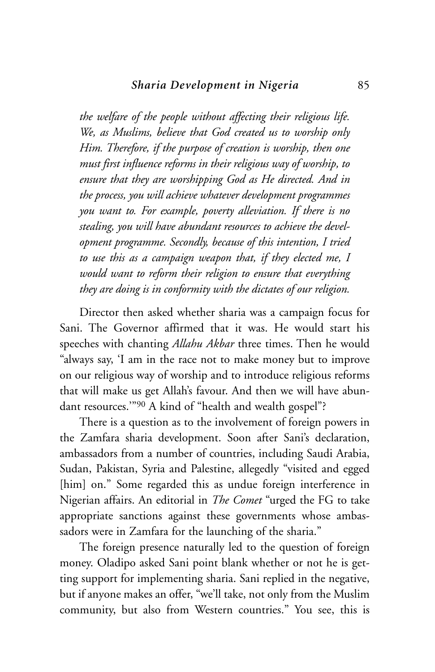*the welfare of the people without affecting their religious life. We, as Muslims, believe that God created us to worship only Him. Therefore, if the purpose of creation is worship, then one must first influence reforms in their religious way of worship, to ensure that they are worshipping God as He directed. And in the process, you will achieve whatever development programmes you want to. For example, poverty alleviation. If there is no stealing, you will have abundant resources to achieve the development programme. Secondly, because of this intention, I tried to use this as a campaign weapon that, if they elected me, I would want to reform their religion to ensure that everything they are doing is in conformity with the dictates of our religion.*

Director then asked whether sharia was a campaign focus for Sani. The Governor affirmed that it was. He would start his speeches with chanting *Allahu Akbar* three times. Then he would "always say, 'I am in the race not to make money but to improve on our religious way of worship and to introduce religious reforms that will make us get Allah's favour. And then we will have abundant resources."90 A kind of "health and wealth gospel"?

There is a question as to the involvement of foreign powers in the Zamfara sharia development. Soon after Sani's declaration, ambassadors from a number of countries, including Saudi Arabia, Sudan, Pakistan, Syria and Palestine, allegedly "visited and egged [him] on." Some regarded this as undue foreign interference in Nigerian affairs. An editorial in *The Comet* "urged the FG to take appropriate sanctions against these governments whose ambassadors were in Zamfara for the launching of the sharia."

The foreign presence naturally led to the question of foreign money. Oladipo asked Sani point blank whether or not he is getting support for implementing sharia. Sani replied in the negative, but if anyone makes an offer, "we'll take, not only from the Muslim community, but also from Western countries." You see, this is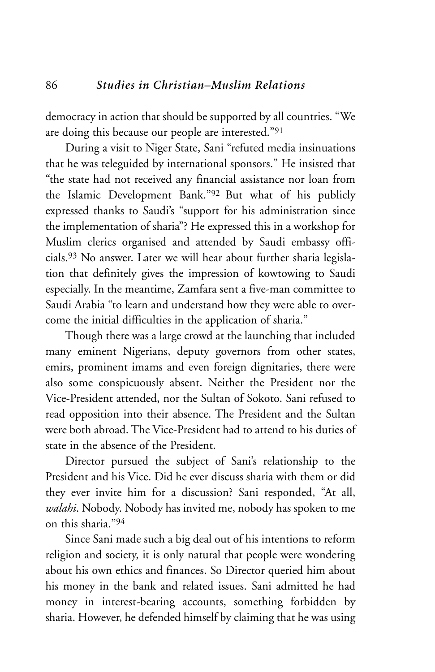democracy in action that should be supported by all countries. "We are doing this because our people are interested."91

During a visit to Niger State, Sani "refuted media insinuations that he was teleguided by international sponsors." He insisted that "the state had not received any financial assistance nor loan from the Islamic Development Bank."92 But what of his publicly expressed thanks to Saudi's "support for his administration since the implementation of sharia"? He expressed this in a workshop for Muslim clerics organised and attended by Saudi embassy officials.93 No answer. Later we will hear about further sharia legislation that definitely gives the impression of kowtowing to Saudi especially. In the meantime, Zamfara sent a five-man committee to Saudi Arabia "to learn and understand how they were able to overcome the initial difficulties in the application of sharia."

Though there was a large crowd at the launching that included many eminent Nigerians, deputy governors from other states, emirs, prominent imams and even foreign dignitaries, there were also some conspicuously absent. Neither the President nor the Vice-President attended, nor the Sultan of Sokoto. Sani refused to read opposition into their absence. The President and the Sultan were both abroad. The Vice-President had to attend to his duties of state in the absence of the President.

Director pursued the subject of Sani's relationship to the President and his Vice. Did he ever discuss sharia with them or did they ever invite him for a discussion? Sani responded, "At all, *walahi*. Nobody. Nobody has invited me, nobody has spoken to me on this sharia."94

Since Sani made such a big deal out of his intentions to reform religion and society, it is only natural that people were wondering about his own ethics and finances. So Director queried him about his money in the bank and related issues. Sani admitted he had money in interest-bearing accounts, something forbidden by sharia. However, he defended himself by claiming that he was using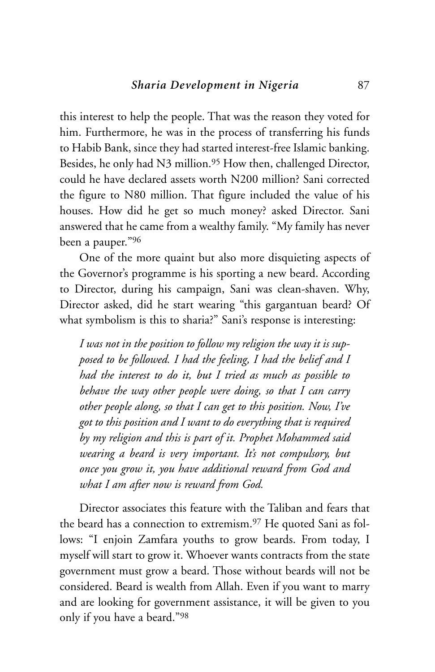this interest to help the people. That was the reason they voted for him. Furthermore, he was in the process of transferring his funds to Habib Bank, since they had started interest-free Islamic banking. Besides, he only had N3 million.<sup>95</sup> How then, challenged Director, could he have declared assets worth N200 million? Sani corrected the figure to N80 million. That figure included the value of his houses. How did he get so much money? asked Director. Sani answered that he came from a wealthy family. "My family has never been a pauper."96

One of the more quaint but also more disquieting aspects of the Governor's programme is his sporting a new beard. According to Director, during his campaign, Sani was clean-shaven. Why, Director asked, did he start wearing "this gargantuan beard? Of what symbolism is this to sharia?" Sani's response is interesting:

*I was not in the position to follow my religion the way it is supposed to be followed. I had the feeling, I had the belief and I had the interest to do it, but I tried as much as possible to behave the way other people were doing, so that I can carry other people along, so that I can get to this position. Now, I've got to this position and I want to do everything that is required by my religion and this is part of it. Prophet Mohammed said wearing a beard is very important. It's not compulsory, but once you grow it, you have additional reward from God and what I am after now is reward from God.*

Director associates this feature with the Taliban and fears that the beard has a connection to extremism.97 He quoted Sani as follows: "I enjoin Zamfara youths to grow beards. From today, I myself will start to grow it. Whoever wants contracts from the state government must grow a beard. Those without beards will not be considered. Beard is wealth from Allah. Even if you want to marry and are looking for government assistance, it will be given to you only if you have a beard."98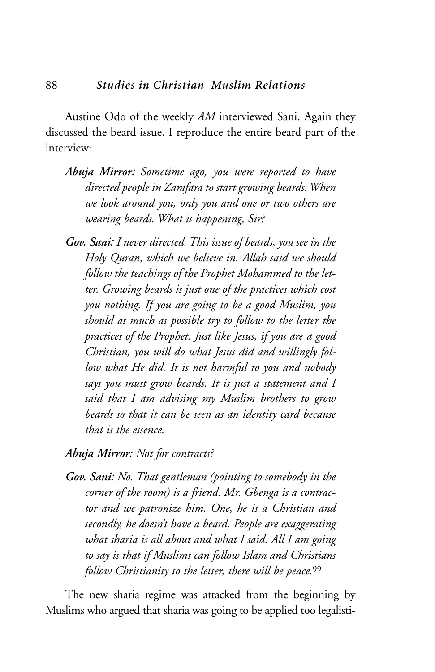Austine Odo of the weekly *AM* interviewed Sani. Again they discussed the beard issue. I reproduce the entire beard part of the interview:

- *Abuja Mirror: Sometime ago, you were reported to have directed people in Zamfara to start growing beards. When we look around you, only you and one or two others are wearing beards. What is happening, Sir?*
- *Gov. Sani: I never directed. This issue of beards, you see in the Holy Quran, which we believe in. Allah said we should follow the teachings of the Prophet Mohammed to the letter. Growing beards is just one of the practices which cost you nothing. If you are going to be a good Muslim, you should as much as possible try to follow to the letter the practices of the Prophet. Just like Jesus, if you are a good Christian, you will do what Jesus did and willingly follow what He did. It is not harmful to you and nobody says you must grow beards. It is just a statement and I said that I am advising my Muslim brothers to grow beards so that it can be seen as an identity card because that is the essence.*
- *Abuja Mirror: Not for contracts?*
- *Gov. Sani: No. That gentleman (pointing to somebody in the corner of the room) is a friend. Mr. Gbenga is a contractor and we patronize him. One, he is a Christian and secondly, he doesn't have a beard. People are exaggerating what sharia is all about and what I said. All I am going to say is that if Muslims can follow Islam and Christians follow Christianity to the letter, there will be peace.*<sup>99</sup>

The new sharia regime was attacked from the beginning by Muslims who argued that sharia was going to be applied too legalisti-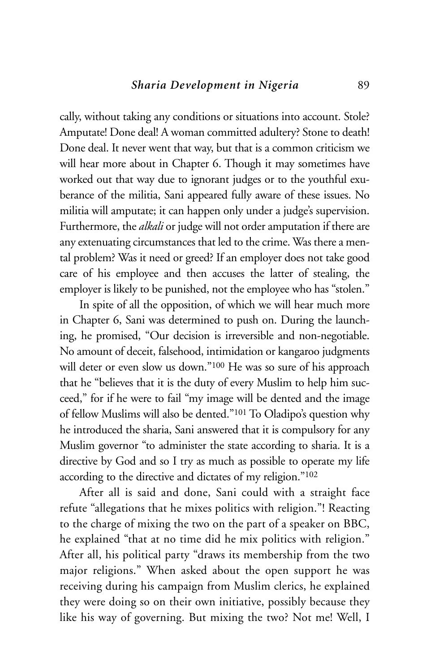cally, without taking any conditions or situations into account. Stole? Amputate! Done deal! A woman committed adultery? Stone to death! Done deal. It never went that way, but that is a common criticism we will hear more about in Chapter 6. Though it may sometimes have worked out that way due to ignorant judges or to the youthful exuberance of the militia, Sani appeared fully aware of these issues. No militia will amputate; it can happen only under a judge's supervision. Furthermore, the *alkali* or judge will not order amputation if there are any extenuating circumstances that led to the crime. Was there a mental problem? Was it need or greed? If an employer does not take good care of his employee and then accuses the latter of stealing, the employer is likely to be punished, not the employee who has "stolen."

In spite of all the opposition, of which we will hear much more in Chapter 6, Sani was determined to push on. During the launching, he promised, "Our decision is irreversible and non-negotiable. No amount of deceit, falsehood, intimidation or kangaroo judgments will deter or even slow us down."100 He was so sure of his approach that he "believes that it is the duty of every Muslim to help him succeed," for if he were to fail "my image will be dented and the image of fellow Muslims will also be dented."101 To Oladipo's question why he introduced the sharia, Sani answered that it is compulsory for any Muslim governor "to administer the state according to sharia. It is a directive by God and so I try as much as possible to operate my life according to the directive and dictates of my religion."102

After all is said and done, Sani could with a straight face refute "allegations that he mixes politics with religion."! Reacting to the charge of mixing the two on the part of a speaker on BBC, he explained "that at no time did he mix politics with religion." After all, his political party "draws its membership from the two major religions." When asked about the open support he was receiving during his campaign from Muslim clerics, he explained they were doing so on their own initiative, possibly because they like his way of governing. But mixing the two? Not me! Well, I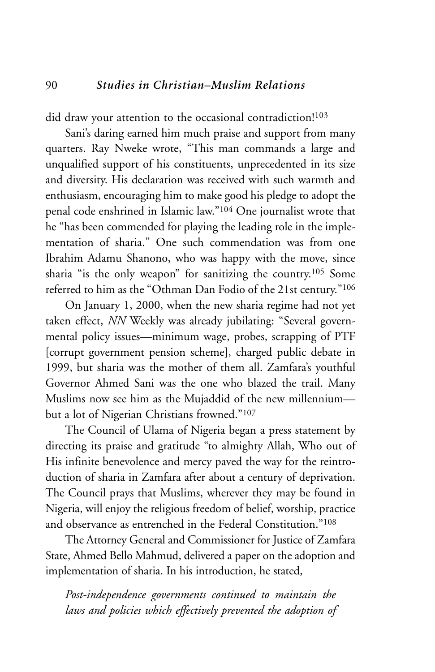did draw your attention to the occasional contradiction!<sup>103</sup>

Sani's daring earned him much praise and support from many quarters. Ray Nweke wrote, "This man commands a large and unqualified support of his constituents, unprecedented in its size and diversity. His declaration was received with such warmth and enthusiasm, encouraging him to make good his pledge to adopt the penal code enshrined in Islamic law."104 One journalist wrote that he "has been commended for playing the leading role in the implementation of sharia." One such commendation was from one Ibrahim Adamu Shanono, who was happy with the move, since sharia "is the only weapon" for sanitizing the country.105 Some referred to him as the "Othman Dan Fodio of the 21st century."106

On January 1, 2000, when the new sharia regime had not yet taken effect, *NN* Weekly was already jubilating: "Several governmental policy issues—minimum wage, probes, scrapping of PTF [corrupt government pension scheme], charged public debate in 1999, but sharia was the mother of them all. Zamfara's youthful Governor Ahmed Sani was the one who blazed the trail. Many Muslims now see him as the Mujaddid of the new millennium but a lot of Nigerian Christians frowned."107

The Council of Ulama of Nigeria began a press statement by directing its praise and gratitude "to almighty Allah, Who out of His infinite benevolence and mercy paved the way for the reintroduction of sharia in Zamfara after about a century of deprivation. The Council prays that Muslims, wherever they may be found in Nigeria, will enjoy the religious freedom of belief, worship, practice and observance as entrenched in the Federal Constitution."108

The Attorney General and Commissioner for Justice of Zamfara State, Ahmed Bello Mahmud, delivered a paper on the adoption and implementation of sharia. In his introduction, he stated,

*Post-independence governments continued to maintain the laws and policies which effectively prevented the adoption of*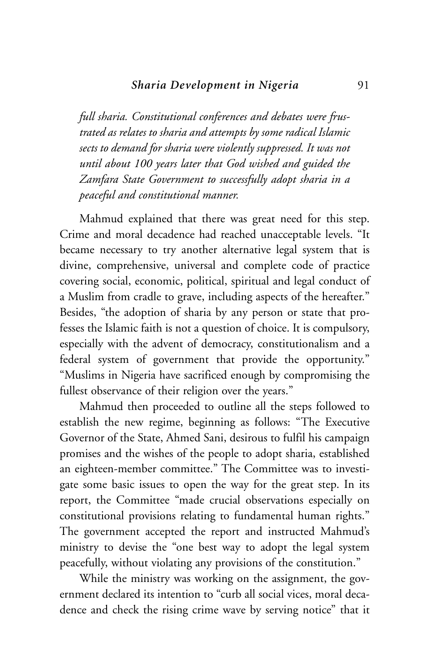*full sharia. Constitutional conferences and debates were frustrated as relates to sharia and attempts by some radical Islamic sects to demand for sharia were violently suppressed. It was not until about 100 years later that God wished and guided the Zamfara State Government to successfully adopt sharia in a peaceful and constitutional manner.*

Mahmud explained that there was great need for this step. Crime and moral decadence had reached unacceptable levels. "It became necessary to try another alternative legal system that is divine, comprehensive, universal and complete code of practice covering social, economic, political, spiritual and legal conduct of a Muslim from cradle to grave, including aspects of the hereafter." Besides, "the adoption of sharia by any person or state that professes the Islamic faith is not a question of choice. It is compulsory, especially with the advent of democracy, constitutionalism and a federal system of government that provide the opportunity." "Muslims in Nigeria have sacrificed enough by compromising the fullest observance of their religion over the years."

Mahmud then proceeded to outline all the steps followed to establish the new regime, beginning as follows: "The Executive Governor of the State, Ahmed Sani, desirous to fulfil his campaign promises and the wishes of the people to adopt sharia, established an eighteen-member committee." The Committee was to investigate some basic issues to open the way for the great step. In its report, the Committee "made crucial observations especially on constitutional provisions relating to fundamental human rights." The government accepted the report and instructed Mahmud's ministry to devise the "one best way to adopt the legal system peacefully, without violating any provisions of the constitution."

While the ministry was working on the assignment, the government declared its intention to "curb all social vices, moral decadence and check the rising crime wave by serving notice" that it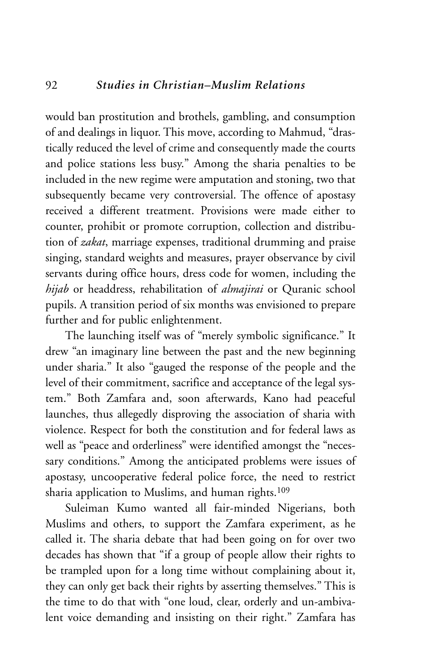would ban prostitution and brothels, gambling, and consumption of and dealings in liquor. This move, according to Mahmud, "drastically reduced the level of crime and consequently made the courts and police stations less busy." Among the sharia penalties to be included in the new regime were amputation and stoning, two that subsequently became very controversial. The offence of apostasy received a different treatment. Provisions were made either to counter, prohibit or promote corruption, collection and distribution of *zakat*, marriage expenses, traditional drumming and praise singing, standard weights and measures, prayer observance by civil servants during office hours, dress code for women, including the *hijab* or headdress, rehabilitation of *almajirai* or Quranic school pupils. A transition period of six months was envisioned to prepare further and for public enlightenment.

The launching itself was of "merely symbolic significance." It drew "an imaginary line between the past and the new beginning under sharia." It also "gauged the response of the people and the level of their commitment, sacrifice and acceptance of the legal system." Both Zamfara and, soon afterwards, Kano had peaceful launches, thus allegedly disproving the association of sharia with violence. Respect for both the constitution and for federal laws as well as "peace and orderliness" were identified amongst the "necessary conditions." Among the anticipated problems were issues of apostasy, uncooperative federal police force, the need to restrict sharia application to Muslims, and human rights.<sup>109</sup>

Suleiman Kumo wanted all fair-minded Nigerians, both Muslims and others, to support the Zamfara experiment, as he called it. The sharia debate that had been going on for over two decades has shown that "if a group of people allow their rights to be trampled upon for a long time without complaining about it, they can only get back their rights by asserting themselves." This is the time to do that with "one loud, clear, orderly and un-ambivalent voice demanding and insisting on their right." Zamfara has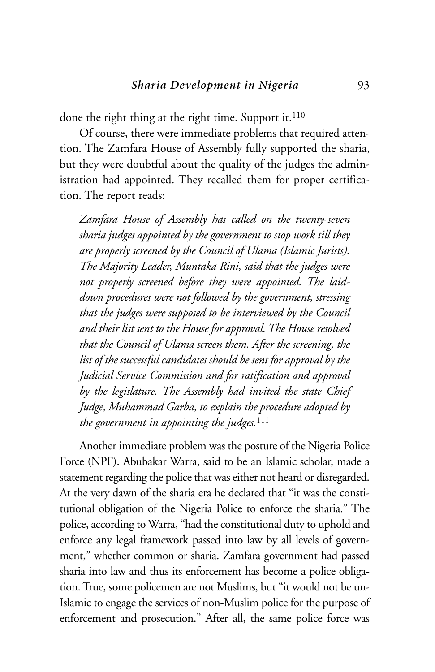done the right thing at the right time. Support it.<sup>110</sup>

Of course, there were immediate problems that required attention. The Zamfara House of Assembly fully supported the sharia, but they were doubtful about the quality of the judges the administration had appointed. They recalled them for proper certification. The report reads:

*Zamfara House of Assembly has called on the twenty-seven sharia judges appointed by the government to stop work till they are properly screened by the Council of Ulama (Islamic Jurists). The Majority Leader, Muntaka Rini, said that the judges were not properly screened before they were appointed. The laiddown procedures were not followed by the government, stressing that the judges were supposed to be interviewed by the Council and their list sent to the House for approval. The House resolved that the Council of Ulama screen them. After the screening, the list of the successful candidates should be sent for approval by the Judicial Service Commission and for ratification and approval by the legislature. The Assembly had invited the state Chief Judge, Muhammad Garba, to explain the procedure adopted by the government in appointing the judges.*<sup>111</sup>

Another immediate problem was the posture of the Nigeria Police Force (NPF). Abubakar Warra, said to be an Islamic scholar, made a statement regarding the police that was either not heard or disregarded. At the very dawn of the sharia era he declared that "it was the constitutional obligation of the Nigeria Police to enforce the sharia." The police, according to Warra, "had the constitutional duty to uphold and enforce any legal framework passed into law by all levels of government," whether common or sharia. Zamfara government had passed sharia into law and thus its enforcement has become a police obligation. True, some policemen are not Muslims, but "it would not be un-Islamic to engage the services of non-Muslim police for the purpose of enforcement and prosecution." After all, the same police force was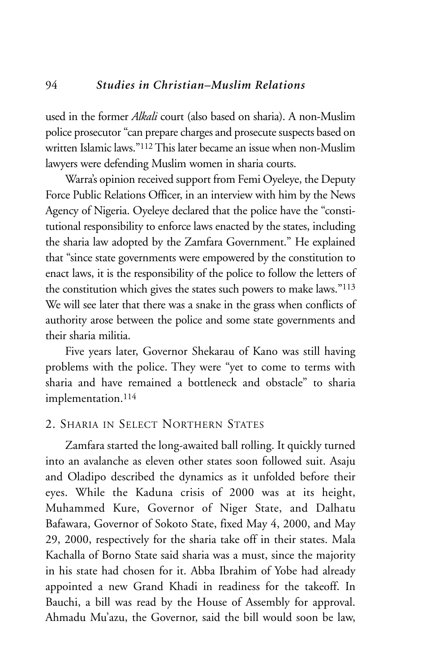used in the former *Alkali* court (also based on sharia). A non-Muslim police prosecutor "can prepare charges and prosecute suspects based on written Islamic laws."112This later became an issue when non-Muslim lawyers were defending Muslim women in sharia courts.

Warra's opinion received support from Femi Oyeleye, the Deputy Force Public Relations Officer, in an interview with him by the News Agency of Nigeria. Oyeleye declared that the police have the "constitutional responsibility to enforce laws enacted by the states, including the sharia law adopted by the Zamfara Government." He explained that "since state governments were empowered by the constitution to enact laws, it is the responsibility of the police to follow the letters of the constitution which gives the states such powers to make laws."113 We will see later that there was a snake in the grass when conflicts of authority arose between the police and some state governments and their sharia militia.

Five years later, Governor Shekarau of Kano was still having problems with the police. They were "yet to come to terms with sharia and have remained a bottleneck and obstacle" to sharia implementation.114

# 2. SHARIA IN SELECT NORTHERN STATES

Zamfara started the long-awaited ball rolling. It quickly turned into an avalanche as eleven other states soon followed suit. Asaju and Oladipo described the dynamics as it unfolded before their eyes. While the Kaduna crisis of 2000 was at its height, Muhammed Kure, Governor of Niger State, and Dalhatu Bafawara, Governor of Sokoto State, fixed May 4, 2000, and May 29, 2000, respectively for the sharia take off in their states. Mala Kachalla of Borno State said sharia was a must, since the majority in his state had chosen for it. Abba Ibrahim of Yobe had already appointed a new Grand Khadi in readiness for the takeoff. In Bauchi, a bill was read by the House of Assembly for approval. Ahmadu Mu'azu, the Governor, said the bill would soon be law,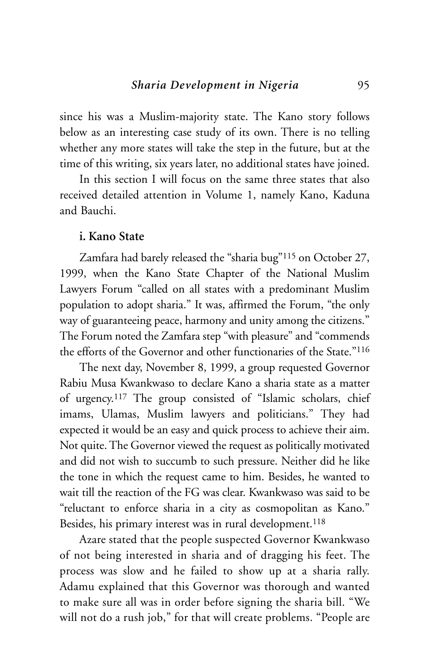since his was a Muslim-majority state. The Kano story follows below as an interesting case study of its own. There is no telling whether any more states will take the step in the future, but at the time of this writing, six years later, no additional states have joined.

In this section I will focus on the same three states that also received detailed attention in Volume 1, namely Kano, Kaduna and Bauchi.

## **i. Kano State**

Zamfara had barely released the "sharia bug"115 on October 27, 1999, when the Kano State Chapter of the National Muslim Lawyers Forum "called on all states with a predominant Muslim population to adopt sharia." It was, affirmed the Forum, "the only way of guaranteeing peace, harmony and unity among the citizens." The Forum noted the Zamfara step "with pleasure" and "commends the efforts of the Governor and other functionaries of the State."116

The next day, November 8, 1999, a group requested Governor Rabiu Musa Kwankwaso to declare Kano a sharia state as a matter of urgency.117 The group consisted of "Islamic scholars, chief imams, Ulamas, Muslim lawyers and politicians." They had expected it would be an easy and quick process to achieve their aim. Not quite. The Governor viewed the request as politically motivated and did not wish to succumb to such pressure. Neither did he like the tone in which the request came to him. Besides, he wanted to wait till the reaction of the FG was clear. Kwankwaso was said to be "reluctant to enforce sharia in a city as cosmopolitan as Kano." Besides, his primary interest was in rural development.<sup>118</sup>

Azare stated that the people suspected Governor Kwankwaso of not being interested in sharia and of dragging his feet. The process was slow and he failed to show up at a sharia rally. Adamu explained that this Governor was thorough and wanted to make sure all was in order before signing the sharia bill. "We will not do a rush job," for that will create problems. "People are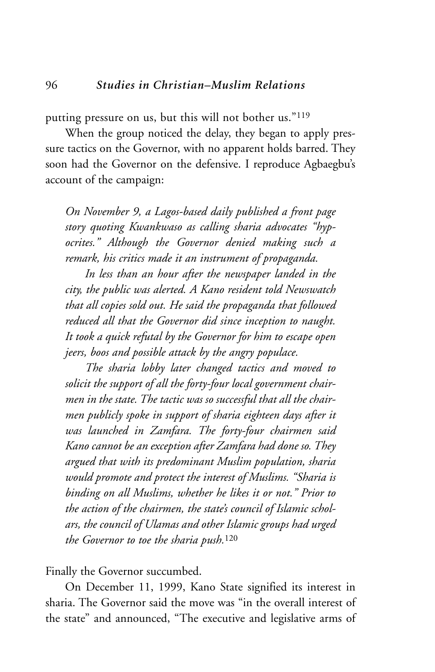putting pressure on us, but this will not bother us."119

When the group noticed the delay, they began to apply pressure tactics on the Governor, with no apparent holds barred. They soon had the Governor on the defensive. I reproduce Agbaegbu's account of the campaign:

*On November 9, a Lagos-based daily published a front page story quoting Kwankwaso as calling sharia advocates "hypocrites." Although the Governor denied making such a remark, his critics made it an instrument of propaganda.* 

*In less than an hour after the newspaper landed in the city, the public was alerted. A Kano resident told Newswatch that all copies sold out. He said the propaganda that followed reduced all that the Governor did since inception to naught. It took a quick refutal by the Governor for him to escape open jeers, boos and possible attack by the angry populace.*

*The sharia lobby later changed tactics and moved to solicit the support of all the forty-four local government chairmen in the state. The tactic was so successful that all the chairmen publicly spoke in support of sharia eighteen days after it was launched in Zamfara. The forty-four chairmen said Kano cannot be an exception after Zamfara had done so. They argued that with its predominant Muslim population, sharia would promote and protect the interest of Muslims. "Sharia is binding on all Muslims, whether he likes it or not." Prior to the action of the chairmen, the state's council of Islamic scholars, the council of Ulamas and other Islamic groups had urged the Governor to toe the sharia push.*<sup>120</sup>

Finally the Governor succumbed.

On December 11, 1999, Kano State signified its interest in sharia. The Governor said the move was "in the overall interest of the state" and announced, "The executive and legislative arms of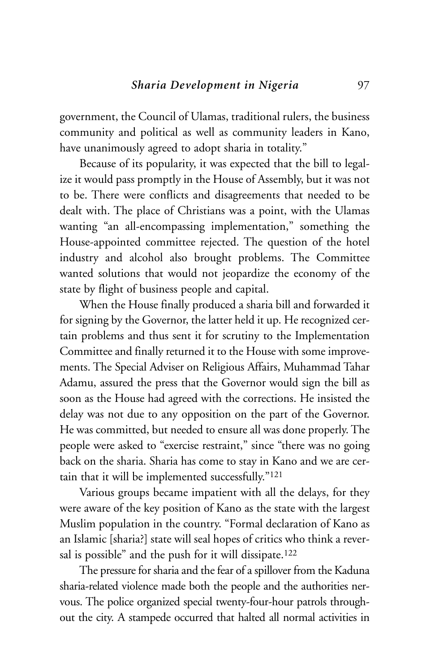government, the Council of Ulamas, traditional rulers, the business community and political as well as community leaders in Kano, have unanimously agreed to adopt sharia in totality."

Because of its popularity, it was expected that the bill to legalize it would pass promptly in the House of Assembly, but it was not to be. There were conflicts and disagreements that needed to be dealt with. The place of Christians was a point, with the Ulamas wanting "an all-encompassing implementation," something the House-appointed committee rejected. The question of the hotel industry and alcohol also brought problems. The Committee wanted solutions that would not jeopardize the economy of the state by flight of business people and capital.

When the House finally produced a sharia bill and forwarded it for signing by the Governor, the latter held it up. He recognized certain problems and thus sent it for scrutiny to the Implementation Committee and finally returned it to the House with some improvements. The Special Adviser on Religious Affairs, Muhammad Tahar Adamu, assured the press that the Governor would sign the bill as soon as the House had agreed with the corrections. He insisted the delay was not due to any opposition on the part of the Governor. He was committed, but needed to ensure all was done properly. The people were asked to "exercise restraint," since "there was no going back on the sharia. Sharia has come to stay in Kano and we are certain that it will be implemented successfully."121

Various groups became impatient with all the delays, for they were aware of the key position of Kano as the state with the largest Muslim population in the country. "Formal declaration of Kano as an Islamic [sharia?] state will seal hopes of critics who think a reversal is possible" and the push for it will dissipate.<sup>122</sup>

The pressure for sharia and the fear of a spillover from the Kaduna sharia-related violence made both the people and the authorities nervous. The police organized special twenty-four-hour patrols throughout the city. A stampede occurred that halted all normal activities in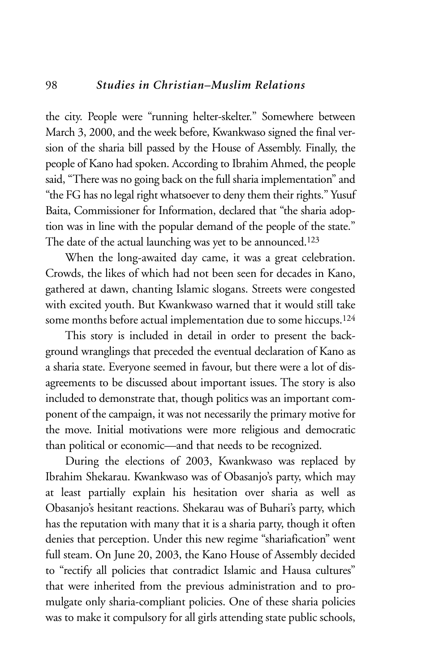#### 98 *Studies in Christian–Muslim Relations*

the city. People were "running helter-skelter." Somewhere between March 3, 2000, and the week before, Kwankwaso signed the final version of the sharia bill passed by the House of Assembly. Finally, the people of Kano had spoken. According to Ibrahim Ahmed, the people said, "There was no going back on the full sharia implementation" and "the FG has no legal right whatsoever to deny them their rights." Yusuf Baita, Commissioner for Information, declared that "the sharia adoption was in line with the popular demand of the people of the state." The date of the actual launching was yet to be announced.<sup>123</sup>

When the long-awaited day came, it was a great celebration. Crowds, the likes of which had not been seen for decades in Kano, gathered at dawn, chanting Islamic slogans. Streets were congested with excited youth. But Kwankwaso warned that it would still take some months before actual implementation due to some hiccups.124

This story is included in detail in order to present the background wranglings that preceded the eventual declaration of Kano as a sharia state. Everyone seemed in favour, but there were a lot of disagreements to be discussed about important issues. The story is also included to demonstrate that, though politics was an important component of the campaign, it was not necessarily the primary motive for the move. Initial motivations were more religious and democratic than political or economic—and that needs to be recognized.

During the elections of 2003, Kwankwaso was replaced by Ibrahim Shekarau. Kwankwaso was of Obasanjo's party, which may at least partially explain his hesitation over sharia as well as Obasanjo's hesitant reactions. Shekarau was of Buhari's party, which has the reputation with many that it is a sharia party, though it often denies that perception. Under this new regime "shariafication" went full steam. On June 20, 2003, the Kano House of Assembly decided to "rectify all policies that contradict Islamic and Hausa cultures" that were inherited from the previous administration and to promulgate only sharia-compliant policies. One of these sharia policies was to make it compulsory for all girls attending state public schools,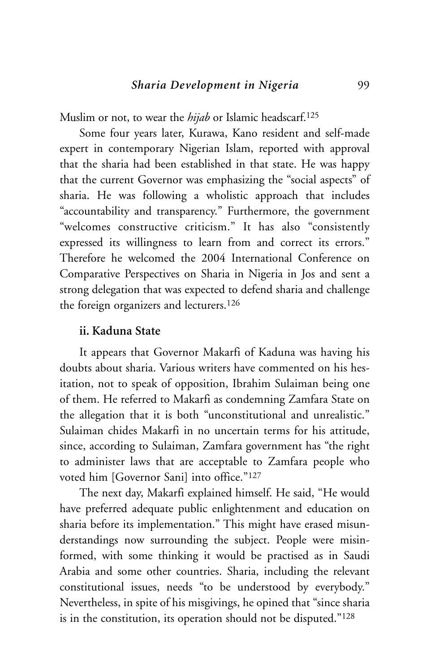Muslim or not, to wear the *hijab* or Islamic headscarf.<sup>125</sup>

Some four years later, Kurawa, Kano resident and self-made expert in contemporary Nigerian Islam, reported with approval that the sharia had been established in that state. He was happy that the current Governor was emphasizing the "social aspects" of sharia. He was following a wholistic approach that includes "accountability and transparency." Furthermore, the government "welcomes constructive criticism." It has also "consistently expressed its willingness to learn from and correct its errors." Therefore he welcomed the 2004 International Conference on Comparative Perspectives on Sharia in Nigeria in Jos and sent a strong delegation that was expected to defend sharia and challenge the foreign organizers and lecturers.126

### **ii. Kaduna State**

It appears that Governor Makarfi of Kaduna was having his doubts about sharia. Various writers have commented on his hesitation, not to speak of opposition, Ibrahim Sulaiman being one of them. He referred to Makarfi as condemning Zamfara State on the allegation that it is both "unconstitutional and unrealistic." Sulaiman chides Makarfi in no uncertain terms for his attitude, since, according to Sulaiman, Zamfara government has "the right to administer laws that are acceptable to Zamfara people who voted him [Governor Sani] into office."127

The next day, Makarfi explained himself. He said, "He would have preferred adequate public enlightenment and education on sharia before its implementation." This might have erased misunderstandings now surrounding the subject. People were misinformed, with some thinking it would be practised as in Saudi Arabia and some other countries. Sharia, including the relevant constitutional issues, needs "to be understood by everybody." Nevertheless, in spite of his misgivings, he opined that "since sharia is in the constitution, its operation should not be disputed."128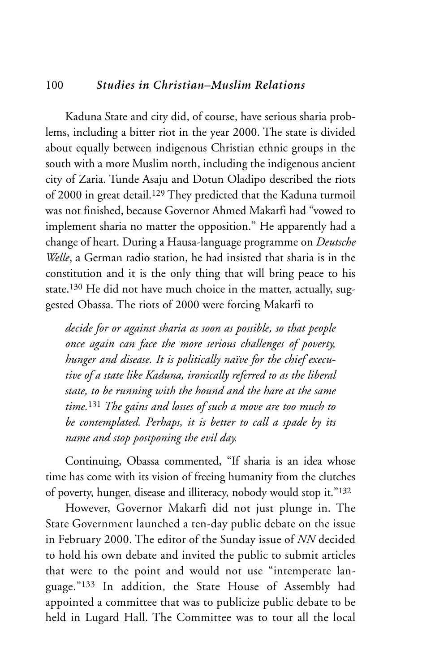# 100 *Studies in Christian–Muslim Relations*

Kaduna State and city did, of course, have serious sharia problems, including a bitter riot in the year 2000. The state is divided about equally between indigenous Christian ethnic groups in the south with a more Muslim north, including the indigenous ancient city of Zaria. Tunde Asaju and Dotun Oladipo described the riots of 2000 in great detail.129 They predicted that the Kaduna turmoil was not finished, because Governor Ahmed Makarfi had "vowed to implement sharia no matter the opposition." He apparently had a change of heart. During a Hausa-language programme on *Deutsche Welle*, a German radio station, he had insisted that sharia is in the constitution and it is the only thing that will bring peace to his state.130 He did not have much choice in the matter, actually, suggested Obassa. The riots of 2000 were forcing Makarfi to

*decide for or against sharia as soon as possible, so that people once again can face the more serious challenges of poverty, hunger and disease. It is politically naïve for the chief executive of a state like Kaduna, ironically referred to as the liberal state, to be running with the hound and the hare at the same time.*<sup>131</sup> *The gains and losses of such a move are too much to be contemplated. Perhaps, it is better to call a spade by its name and stop postponing the evil day.* 

Continuing, Obassa commented, "If sharia is an idea whose time has come with its vision of freeing humanity from the clutches of poverty, hunger, disease and illiteracy, nobody would stop it."132

However, Governor Makarfi did not just plunge in. The State Government launched a ten-day public debate on the issue in February 2000. The editor of the Sunday issue of *NN* decided to hold his own debate and invited the public to submit articles that were to the point and would not use "intemperate language."133 In addition, the State House of Assembly had appointed a committee that was to publicize public debate to be held in Lugard Hall. The Committee was to tour all the local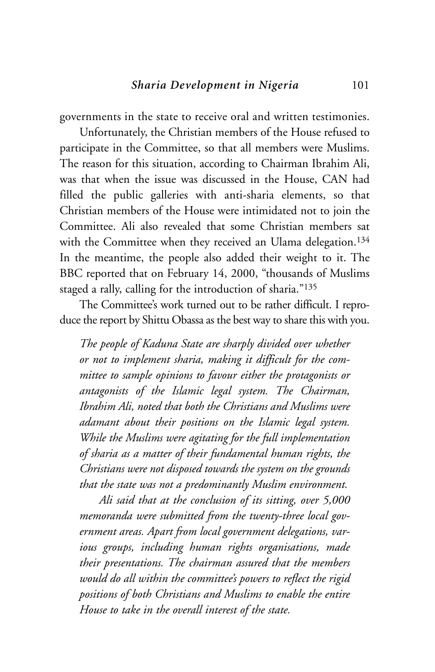governments in the state to receive oral and written testimonies.

Unfortunately, the Christian members of the House refused to participate in the Committee, so that all members were Muslims. The reason for this situation, according to Chairman Ibrahim Ali, was that when the issue was discussed in the House, CAN had filled the public galleries with anti-sharia elements, so that Christian members of the House were intimidated not to join the Committee. Ali also revealed that some Christian members sat with the Committee when they received an Ulama delegation.<sup>134</sup> In the meantime, the people also added their weight to it. The BBC reported that on February 14, 2000, "thousands of Muslims staged a rally, calling for the introduction of sharia."135

The Committee's work turned out to be rather difficult. I reproduce the report by Shittu Obassa as the best way to share this with you.

*The people of Kaduna State are sharply divided over whether or not to implement sharia, making it difficult for the committee to sample opinions to favour either the protagonists or antagonists of the Islamic legal system. The Chairman, Ibrahim Ali, noted that both the Christians and Muslims were adamant about their positions on the Islamic legal system. While the Muslims were agitating for the full implementation of sharia as a matter of their fundamental human rights, the Christians were not disposed towards the system on the grounds that the state was not a predominantly Muslim environment.* 

*Ali said that at the conclusion of its sitting, over 5,000 memoranda were submitted from the twenty-three local government areas. Apart from local government delegations, various groups, including human rights organisations, made their presentations. The chairman assured that the members would do all within the committee's powers to reflect the rigid positions of both Christians and Muslims to enable the entire House to take in the overall interest of the state.*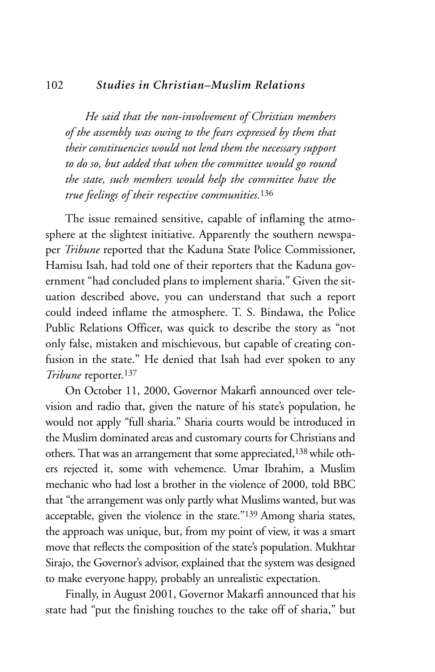#### 102 *Studies in Christian–Muslim Relations*

*He said that the non-involvement of Christian members of the assembly was owing to the fears expressed by them that their constituencies would not lend them the necessary support to do so, but added that when the committee would go round the state, such members would help the committee have the true feelings of their respective communities.*<sup>136</sup>

The issue remained sensitive, capable of inflaming the atmosphere at the slightest initiative. Apparently the southern newspaper *Tribune* reported that the Kaduna State Police Commissioner, Hamisu Isah, had told one of their reporters that the Kaduna government "had concluded plans to implement sharia." Given the situation described above, you can understand that such a report could indeed inflame the atmosphere. T. S. Bindawa, the Police Public Relations Officer, was quick to describe the story as "not only false, mistaken and mischievous, but capable of creating confusion in the state." He denied that Isah had ever spoken to any *Tribune* reporter.137

On October 11, 2000, Governor Makarfi announced over television and radio that, given the nature of his state's population, he would not apply "full sharia." Sharia courts would be introduced in the Muslim dominated areas and customary courts for Christians and others. That was an arrangement that some appreciated,138 while others rejected it, some with vehemence. Umar Ibrahim, a Muslim mechanic who had lost a brother in the violence of 2000, told BBC that "the arrangement was only partly what Muslims wanted, but was acceptable, given the violence in the state."139 Among sharia states, the approach was unique, but, from my point of view, it was a smart move that reflects the composition of the state's population. Mukhtar Sirajo, the Governor's advisor, explained that the system was designed to make everyone happy, probably an unrealistic expectation.

Finally, in August 2001, Governor Makarfi announced that his state had "put the finishing touches to the take off of sharia," but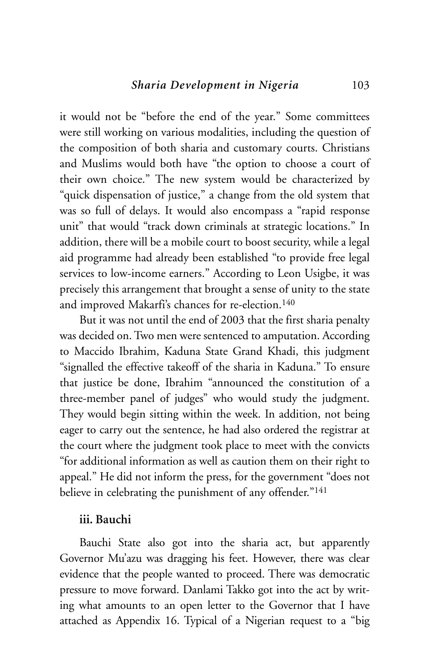it would not be "before the end of the year." Some committees were still working on various modalities, including the question of the composition of both sharia and customary courts. Christians and Muslims would both have "the option to choose a court of their own choice." The new system would be characterized by "quick dispensation of justice," a change from the old system that was so full of delays. It would also encompass a "rapid response unit" that would "track down criminals at strategic locations." In addition, there will be a mobile court to boost security, while a legal aid programme had already been established "to provide free legal services to low-income earners." According to Leon Usigbe, it was precisely this arrangement that brought a sense of unity to the state and improved Makarfi's chances for re-election.140

But it was not until the end of 2003 that the first sharia penalty was decided on. Two men were sentenced to amputation. According to Maccido Ibrahim, Kaduna State Grand Khadi, this judgment "signalled the effective takeoff of the sharia in Kaduna." To ensure that justice be done, Ibrahim "announced the constitution of a three-member panel of judges" who would study the judgment. They would begin sitting within the week. In addition, not being eager to carry out the sentence, he had also ordered the registrar at the court where the judgment took place to meet with the convicts "for additional information as well as caution them on their right to appeal." He did not inform the press, for the government "does not believe in celebrating the punishment of any offender."<sup>141</sup>

# **iii. Bauchi**

Bauchi State also got into the sharia act, but apparently Governor Mu'azu was dragging his feet. However, there was clear evidence that the people wanted to proceed. There was democratic pressure to move forward. Danlami Takko got into the act by writing what amounts to an open letter to the Governor that I have attached as Appendix 16. Typical of a Nigerian request to a "big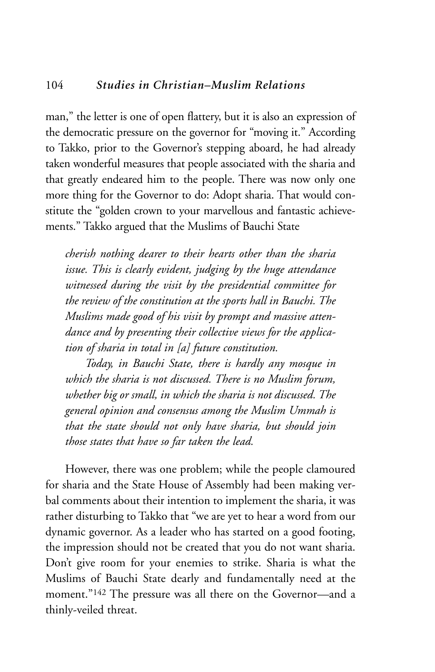## 104 *Studies in Christian–Muslim Relations*

man," the letter is one of open flattery, but it is also an expression of the democratic pressure on the governor for "moving it." According to Takko, prior to the Governor's stepping aboard, he had already taken wonderful measures that people associated with the sharia and that greatly endeared him to the people. There was now only one more thing for the Governor to do: Adopt sharia. That would constitute the "golden crown to your marvellous and fantastic achievements." Takko argued that the Muslims of Bauchi State

*cherish nothing dearer to their hearts other than the sharia issue. This is clearly evident, judging by the huge attendance witnessed during the visit by the presidential committee for the review of the constitution at the sports hall in Bauchi. The Muslims made good of his visit by prompt and massive attendance and by presenting their collective views for the application of sharia in total in [a] future constitution.*

*Today, in Bauchi State, there is hardly any mosque in which the sharia is not discussed. There is no Muslim forum, whether big or small, in which the sharia is not discussed. The general opinion and consensus among the Muslim Ummah is that the state should not only have sharia, but should join those states that have so far taken the lead.* 

However, there was one problem; while the people clamoured for sharia and the State House of Assembly had been making verbal comments about their intention to implement the sharia, it was rather disturbing to Takko that "we are yet to hear a word from our dynamic governor. As a leader who has started on a good footing, the impression should not be created that you do not want sharia. Don't give room for your enemies to strike. Sharia is what the Muslims of Bauchi State dearly and fundamentally need at the moment."142 The pressure was all there on the Governor—and a thinly-veiled threat.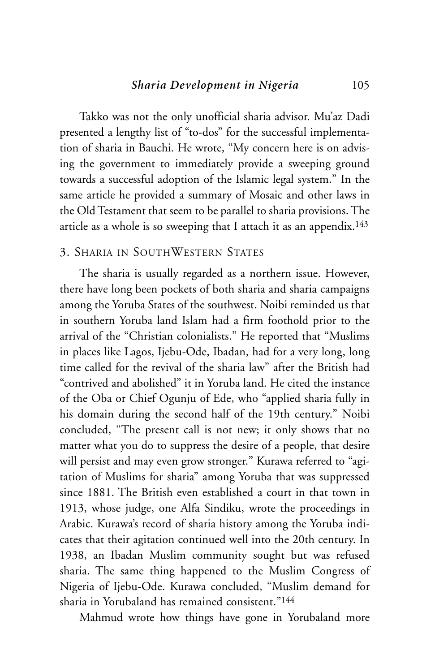Takko was not the only unofficial sharia advisor. Mu'az Dadi presented a lengthy list of "to-dos" for the successful implementation of sharia in Bauchi. He wrote, "My concern here is on advising the government to immediately provide a sweeping ground towards a successful adoption of the Islamic legal system." In the same article he provided a summary of Mosaic and other laws in the Old Testament that seem to be parallel to sharia provisions. The article as a whole is so sweeping that I attach it as an appendix.143

# 3. SHARIA IN SOUTHWESTERN STATES

The sharia is usually regarded as a northern issue. However, there have long been pockets of both sharia and sharia campaigns among the Yoruba States of the southwest. Noibi reminded us that in southern Yoruba land Islam had a firm foothold prior to the arrival of the "Christian colonialists." He reported that "Muslims in places like Lagos, Ijebu-Ode, Ibadan, had for a very long, long time called for the revival of the sharia law" after the British had "contrived and abolished" it in Yoruba land. He cited the instance of the Oba or Chief Ogunju of Ede, who "applied sharia fully in his domain during the second half of the 19th century." Noibi concluded, "The present call is not new; it only shows that no matter what you do to suppress the desire of a people, that desire will persist and may even grow stronger." Kurawa referred to "agitation of Muslims for sharia" among Yoruba that was suppressed since 1881. The British even established a court in that town in 1913, whose judge, one Alfa Sindiku, wrote the proceedings in Arabic. Kurawa's record of sharia history among the Yoruba indicates that their agitation continued well into the 20th century. In 1938, an Ibadan Muslim community sought but was refused sharia. The same thing happened to the Muslim Congress of Nigeria of Ijebu-Ode. Kurawa concluded, "Muslim demand for sharia in Yorubaland has remained consistent."144

Mahmud wrote how things have gone in Yorubaland more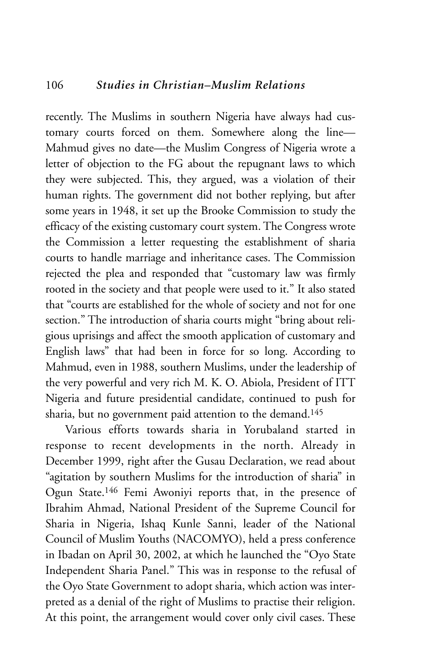recently. The Muslims in southern Nigeria have always had customary courts forced on them. Somewhere along the line— Mahmud gives no date—the Muslim Congress of Nigeria wrote a letter of objection to the FG about the repugnant laws to which they were subjected. This, they argued, was a violation of their human rights. The government did not bother replying, but after some years in 1948, it set up the Brooke Commission to study the efficacy of the existing customary court system. The Congress wrote the Commission a letter requesting the establishment of sharia courts to handle marriage and inheritance cases. The Commission rejected the plea and responded that "customary law was firmly rooted in the society and that people were used to it." It also stated that "courts are established for the whole of society and not for one section." The introduction of sharia courts might "bring about religious uprisings and affect the smooth application of customary and English laws" that had been in force for so long. According to Mahmud, even in 1988, southern Muslims, under the leadership of the very powerful and very rich M. K. O. Abiola, President of ITT Nigeria and future presidential candidate, continued to push for sharia, but no government paid attention to the demand.<sup>145</sup>

Various efforts towards sharia in Yorubaland started in response to recent developments in the north. Already in December 1999, right after the Gusau Declaration, we read about "agitation by southern Muslims for the introduction of sharia" in Ogun State.146 Femi Awoniyi reports that, in the presence of Ibrahim Ahmad, National President of the Supreme Council for Sharia in Nigeria, Ishaq Kunle Sanni, leader of the National Council of Muslim Youths (NACOMYO), held a press conference in Ibadan on April 30, 2002, at which he launched the "Oyo State Independent Sharia Panel." This was in response to the refusal of the Oyo State Government to adopt sharia, which action was interpreted as a denial of the right of Muslims to practise their religion. At this point, the arrangement would cover only civil cases. These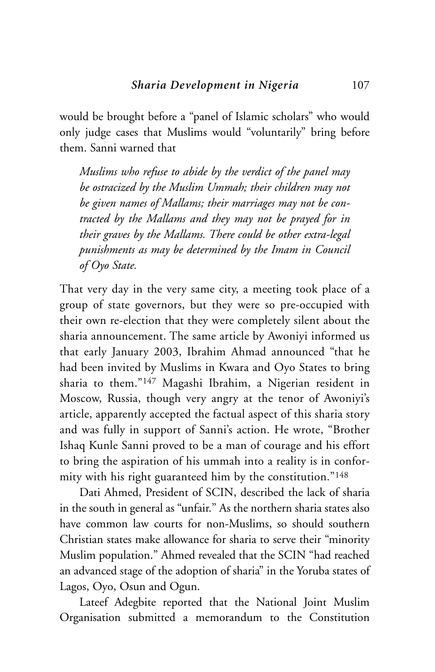would be brought before a "panel of Islamic scholars" who would only judge cases that Muslims would "voluntarily" bring before them. Sanni warned that

*Muslims who refuse to abide by the verdict of the panel may be ostracized by the Muslim Ummah; their children may not be given names of Mallams; their marriages may not be contracted by the Mallams and they may not be prayed for in their graves by the Mallams. There could be other extra-legal punishments as may be determined by the Imam in Council of Oyo State.*

That very day in the very same city, a meeting took place of a group of state governors, but they were so pre-occupied with their own re-election that they were completely silent about the sharia announcement. The same article by Awoniyi informed us that early January 2003, Ibrahim Ahmad announced "that he had been invited by Muslims in Kwara and Oyo States to bring sharia to them."147 Magashi Ibrahim, a Nigerian resident in Moscow, Russia, though very angry at the tenor of Awoniyi's article, apparently accepted the factual aspect of this sharia story and was fully in support of Sanni's action. He wrote, "Brother Ishaq Kunle Sanni proved to be a man of courage and his effort to bring the aspiration of his ummah into a reality is in conformity with his right guaranteed him by the constitution."148

Dati Ahmed, President of SCIN, described the lack of sharia in the south in general as "unfair." As the northern sharia states also have common law courts for non-Muslims, so should southern Christian states make allowance for sharia to serve their "minority Muslim population." Ahmed revealed that the SCIN "had reached an advanced stage of the adoption of sharia" in the Yoruba states of Lagos, Oyo, Osun and Ogun.

Lateef Adegbite reported that the National Joint Muslim Organisation submitted a memorandum to the Constitution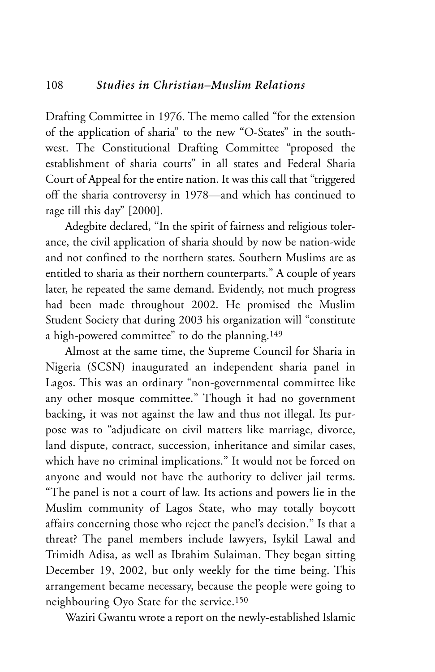Drafting Committee in 1976. The memo called "for the extension of the application of sharia" to the new "O-States" in the southwest. The Constitutional Drafting Committee "proposed the establishment of sharia courts" in all states and Federal Sharia Court of Appeal for the entire nation. It was this call that "triggered off the sharia controversy in 1978—and which has continued to rage till this day" [2000].

Adegbite declared, "In the spirit of fairness and religious tolerance, the civil application of sharia should by now be nation-wide and not confined to the northern states. Southern Muslims are as entitled to sharia as their northern counterparts." A couple of years later, he repeated the same demand. Evidently, not much progress had been made throughout 2002. He promised the Muslim Student Society that during 2003 his organization will "constitute a high-powered committee" to do the planning.149

Almost at the same time, the Supreme Council for Sharia in Nigeria (SCSN) inaugurated an independent sharia panel in Lagos. This was an ordinary "non-governmental committee like any other mosque committee." Though it had no government backing, it was not against the law and thus not illegal. Its purpose was to "adjudicate on civil matters like marriage, divorce, land dispute, contract, succession, inheritance and similar cases, which have no criminal implications." It would not be forced on anyone and would not have the authority to deliver jail terms. "The panel is not a court of law. Its actions and powers lie in the Muslim community of Lagos State, who may totally boycott affairs concerning those who reject the panel's decision." Is that a threat? The panel members include lawyers, Isykil Lawal and Trimidh Adisa, as well as Ibrahim Sulaiman. They began sitting December 19, 2002, but only weekly for the time being. This arrangement became necessary, because the people were going to neighbouring Oyo State for the service.150

Waziri Gwantu wrote a report on the newly-established Islamic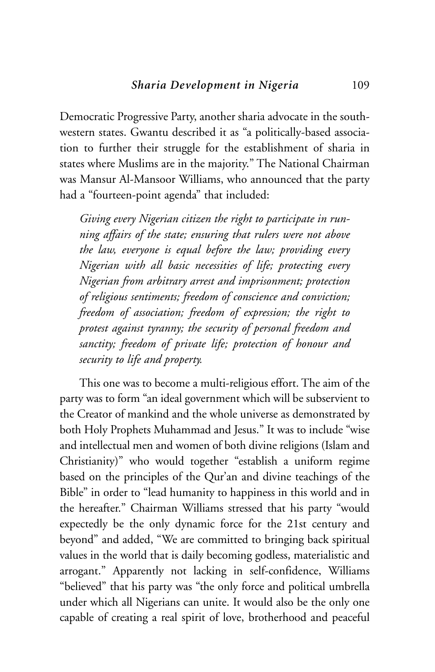Democratic Progressive Party, another sharia advocate in the southwestern states. Gwantu described it as "a politically-based association to further their struggle for the establishment of sharia in states where Muslims are in the majority." The National Chairman was Mansur Al-Mansoor Williams, who announced that the party had a "fourteen-point agenda" that included:

*Giving every Nigerian citizen the right to participate in running affairs of the state; ensuring that rulers were not above the law, everyone is equal before the law; providing every Nigerian with all basic necessities of life; protecting every Nigerian from arbitrary arrest and imprisonment; protection of religious sentiments; freedom of conscience and conviction; freedom of association; freedom of expression; the right to protest against tyranny; the security of personal freedom and sanctity; freedom of private life; protection of honour and security to life and property.*

This one was to become a multi-religious effort. The aim of the party was to form "an ideal government which will be subservient to the Creator of mankind and the whole universe as demonstrated by both Holy Prophets Muhammad and Jesus." It was to include "wise and intellectual men and women of both divine religions (Islam and Christianity)" who would together "establish a uniform regime based on the principles of the Qur'an and divine teachings of the Bible" in order to "lead humanity to happiness in this world and in the hereafter." Chairman Williams stressed that his party "would expectedly be the only dynamic force for the 21st century and beyond" and added, "We are committed to bringing back spiritual values in the world that is daily becoming godless, materialistic and arrogant." Apparently not lacking in self-confidence, Williams "believed" that his party was "the only force and political umbrella under which all Nigerians can unite. It would also be the only one capable of creating a real spirit of love, brotherhood and peaceful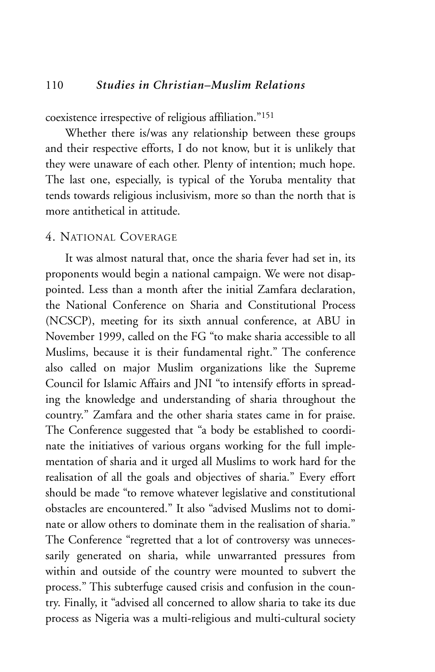coexistence irrespective of religious affiliation."151

Whether there is/was any relationship between these groups and their respective efforts, I do not know, but it is unlikely that they were unaware of each other. Plenty of intention; much hope. The last one, especially, is typical of the Yoruba mentality that tends towards religious inclusivism, more so than the north that is more antithetical in attitude.

# 4. NATIONAL COVERAGE

It was almost natural that, once the sharia fever had set in, its proponents would begin a national campaign. We were not disappointed. Less than a month after the initial Zamfara declaration, the National Conference on Sharia and Constitutional Process (NCSCP), meeting for its sixth annual conference, at ABU in November 1999, called on the FG "to make sharia accessible to all Muslims, because it is their fundamental right." The conference also called on major Muslim organizations like the Supreme Council for Islamic Affairs and JNI "to intensify efforts in spreading the knowledge and understanding of sharia throughout the country." Zamfara and the other sharia states came in for praise. The Conference suggested that "a body be established to coordinate the initiatives of various organs working for the full implementation of sharia and it urged all Muslims to work hard for the realisation of all the goals and objectives of sharia." Every effort should be made "to remove whatever legislative and constitutional obstacles are encountered." It also "advised Muslims not to dominate or allow others to dominate them in the realisation of sharia." The Conference "regretted that a lot of controversy was unnecessarily generated on sharia, while unwarranted pressures from within and outside of the country were mounted to subvert the process." This subterfuge caused crisis and confusion in the country. Finally, it "advised all concerned to allow sharia to take its due process as Nigeria was a multi-religious and multi-cultural society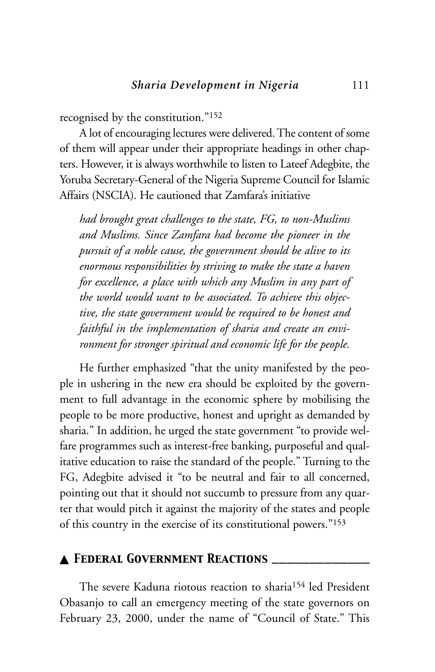recognised by the constitution."152

A lot of encouraging lectures were delivered. The content of some of them will appear under their appropriate headings in other chapters. However, it is always worthwhile to listen to Lateef Adegbite, the Yoruba Secretary-General of the Nigeria Supreme Council for Islamic Affairs (NSCIA). He cautioned that Zamfara's initiative

*had brought great challenges to the state, FG, to non-Muslims and Muslims. Since Zamfara had become the pioneer in the pursuit of a noble cause, the government should be alive to its enormous responsibilities by striving to make the state a haven for excellence, a place with which any Muslim in any part of the world would want to be associated. To achieve this objective, the state government would be required to be honest and faithful in the implementation of sharia and create an environment for stronger spiritual and economic life for the people.*

He further emphasized "that the unity manifested by the people in ushering in the new era should be exploited by the government to full advantage in the economic sphere by mobilising the people to be more productive, honest and upright as demanded by sharia." In addition, he urged the state government "to provide welfare programmes such as interest-free banking, purposeful and qualitative education to raise the standard of the people." Turning to the FG, Adegbite advised it "to be neutral and fair to all concerned, pointing out that it should not succumb to pressure from any quarter that would pitch it against the majority of the states and people of this country in the exercise of its constitutional powers."153

## ▲ *Federal Government Reactions \_\_\_\_\_\_\_\_\_\_\_\_\_*

The severe Kaduna riotous reaction to sharia154 led President Obasanjo to call an emergency meeting of the state governors on February 23, 2000, under the name of "Council of State." This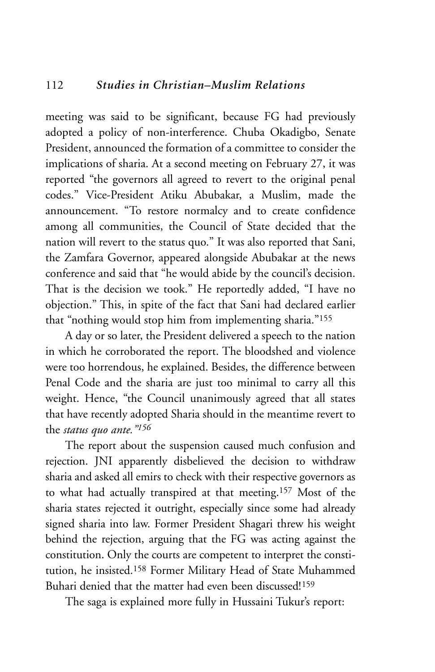meeting was said to be significant, because FG had previously adopted a policy of non-interference. Chuba Okadigbo, Senate President, announced the formation of a committee to consider the implications of sharia. At a second meeting on February 27, it was reported "the governors all agreed to revert to the original penal codes." Vice-President Atiku Abubakar, a Muslim, made the announcement. "To restore normalcy and to create confidence among all communities, the Council of State decided that the nation will revert to the status quo." It was also reported that Sani, the Zamfara Governor, appeared alongside Abubakar at the news conference and said that "he would abide by the council's decision. That is the decision we took." He reportedly added, "I have no objection." This, in spite of the fact that Sani had declared earlier that "nothing would stop him from implementing sharia."155

A day or so later, the President delivered a speech to the nation in which he corroborated the report. The bloodshed and violence were too horrendous, he explained. Besides, the difference between Penal Code and the sharia are just too minimal to carry all this weight. Hence, "the Council unanimously agreed that all states that have recently adopted Sharia should in the meantime revert to the *status quo ante."156*

The report about the suspension caused much confusion and rejection. JNI apparently disbelieved the decision to withdraw sharia and asked all emirs to check with their respective governors as to what had actually transpired at that meeting.157 Most of the sharia states rejected it outright, especially since some had already signed sharia into law. Former President Shagari threw his weight behind the rejection, arguing that the FG was acting against the constitution. Only the courts are competent to interpret the constitution, he insisted.158 Former Military Head of State Muhammed Buhari denied that the matter had even been discussed!159

The saga is explained more fully in Hussaini Tukur's report: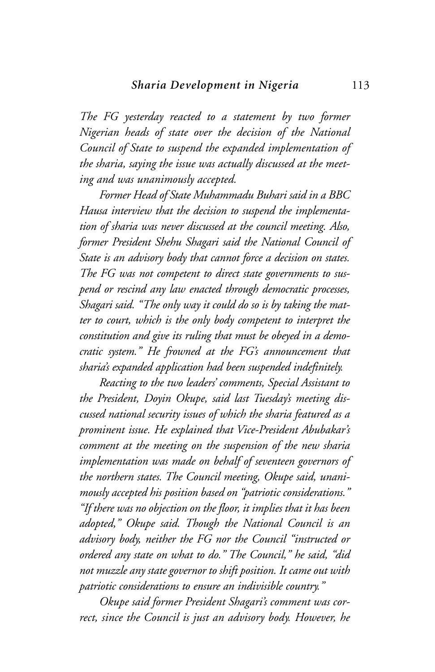*The FG yesterday reacted to a statement by two former Nigerian heads of state over the decision of the National Council of State to suspend the expanded implementation of the sharia, saying the issue was actually discussed at the meeting and was unanimously accepted.*

*Former Head of State Muhammadu Buhari said in a BBC Hausa interview that the decision to suspend the implementation of sharia was never discussed at the council meeting. Also, former President Shehu Shagari said the National Council of State is an advisory body that cannot force a decision on states. The FG was not competent to direct state governments to suspend or rescind any law enacted through democratic processes, Shagari said. "The only way it could do so is by taking the matter to court, which is the only body competent to interpret the constitution and give its ruling that must be obeyed in a democratic system." He frowned at the FG's announcement that sharia's expanded application had been suspended indefinitely.* 

*Reacting to the two leaders' comments, Special Assistant to the President, Doyin Okupe, said last Tuesday's meeting discussed national security issues of which the sharia featured as a prominent issue. He explained that Vice-President Abubakar's comment at the meeting on the suspension of the new sharia implementation was made on behalf of seventeen governors of the northern states. The Council meeting, Okupe said, unanimously accepted his position based on "patriotic considerations." "If there was no objection on the floor, it implies that it has been adopted," Okupe said. Though the National Council is an advisory body, neither the FG nor the Council "instructed or ordered any state on what to do." The Council," he said, "did not muzzle any state governor to shift position. It came out with patriotic considerations to ensure an indivisible country."*

*Okupe said former President Shagari's comment was correct, since the Council is just an advisory body. However, he*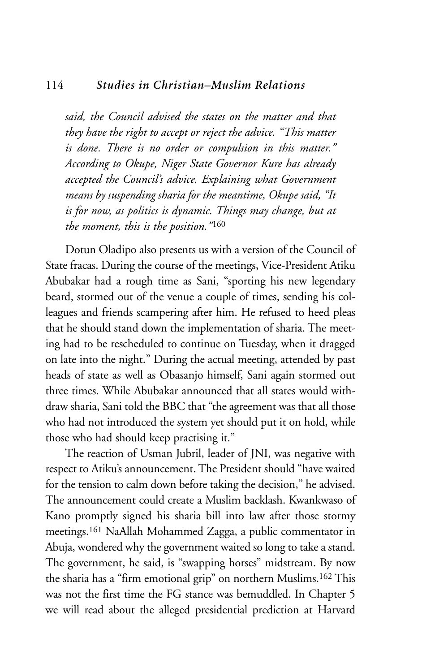#### 114 *Studies in Christian–Muslim Relations*

*said, the Council advised the states on the matter and that they have the right to accept or reject the advice. "This matter is done. There is no order or compulsion in this matter." According to Okupe, Niger State Governor Kure has already accepted the Council's advice. Explaining what Government means by suspending sharia for the meantime, Okupe said, "It is for now, as politics is dynamic. Things may change, but at the moment, this is the position."*<sup>160</sup>

Dotun Oladipo also presents us with a version of the Council of State fracas. During the course of the meetings, Vice-President Atiku Abubakar had a rough time as Sani, "sporting his new legendary beard, stormed out of the venue a couple of times, sending his colleagues and friends scampering after him. He refused to heed pleas that he should stand down the implementation of sharia. The meeting had to be rescheduled to continue on Tuesday, when it dragged on late into the night." During the actual meeting, attended by past heads of state as well as Obasanjo himself, Sani again stormed out three times. While Abubakar announced that all states would withdraw sharia, Sani told the BBC that "the agreement was that all those who had not introduced the system yet should put it on hold, while those who had should keep practising it."

The reaction of Usman Jubril, leader of JNI, was negative with respect to Atiku's announcement. The President should "have waited for the tension to calm down before taking the decision," he advised. The announcement could create a Muslim backlash. Kwankwaso of Kano promptly signed his sharia bill into law after those stormy meetings.161 NaAllah Mohammed Zagga, a public commentator in Abuja, wondered why the government waited so long to take a stand. The government, he said, is "swapping horses" midstream. By now the sharia has a "firm emotional grip" on northern Muslims.162 This was not the first time the FG stance was bemuddled. In Chapter 5 we will read about the alleged presidential prediction at Harvard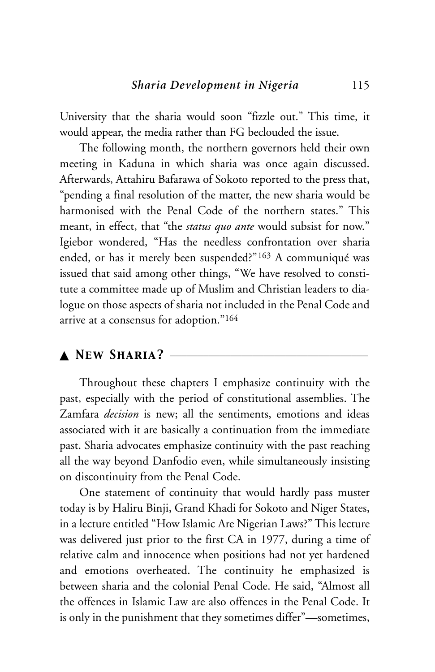University that the sharia would soon "fizzle out." This time, it would appear, the media rather than FG beclouded the issue.

The following month, the northern governors held their own meeting in Kaduna in which sharia was once again discussed. Afterwards, Attahiru Bafarawa of Sokoto reported to the press that, "pending a final resolution of the matter, the new sharia would be harmonised with the Penal Code of the northern states." This meant, in effect, that "the *status quo ante* would subsist for now." Igiebor wondered, "Has the needless confrontation over sharia ended, or has it merely been suspended?"163 A communiqué was issued that said among other things, "We have resolved to constitute a committee made up of Muslim and Christian leaders to dialogue on those aspects of sharia not included in the Penal Code and arrive at a consensus for adoption."164

# ▲ *New Sharia?* \_\_\_\_\_\_\_\_\_\_\_\_\_\_\_\_\_\_\_\_\_\_\_\_\_\_\_\_\_\_\_\_\_\_\_\_

Throughout these chapters I emphasize continuity with the past, especially with the period of constitutional assemblies. The Zamfara *decision* is new; all the sentiments, emotions and ideas associated with it are basically a continuation from the immediate past. Sharia advocates emphasize continuity with the past reaching all the way beyond Danfodio even, while simultaneously insisting on discontinuity from the Penal Code.

One statement of continuity that would hardly pass muster today is by Haliru Binji, Grand Khadi for Sokoto and Niger States, in a lecture entitled "How Islamic Are Nigerian Laws?" This lecture was delivered just prior to the first CA in 1977, during a time of relative calm and innocence when positions had not yet hardened and emotions overheated. The continuity he emphasized is between sharia and the colonial Penal Code. He said, "Almost all the offences in Islamic Law are also offences in the Penal Code. It is only in the punishment that they sometimes differ"—sometimes,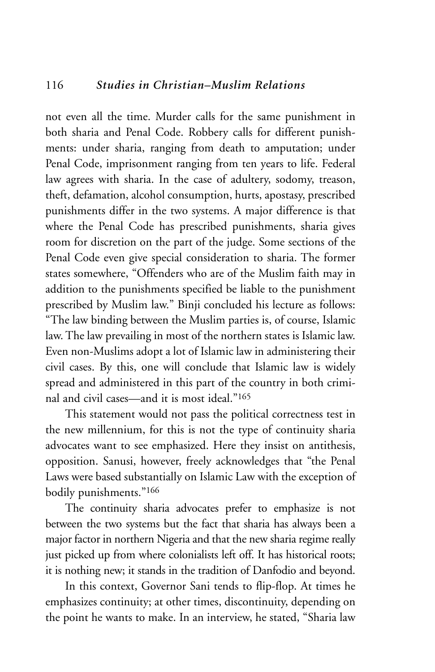not even all the time. Murder calls for the same punishment in both sharia and Penal Code. Robbery calls for different punishments: under sharia, ranging from death to amputation; under Penal Code, imprisonment ranging from ten years to life. Federal law agrees with sharia. In the case of adultery, sodomy, treason, theft, defamation, alcohol consumption, hurts, apostasy, prescribed punishments differ in the two systems. A major difference is that where the Penal Code has prescribed punishments, sharia gives room for discretion on the part of the judge. Some sections of the Penal Code even give special consideration to sharia. The former states somewhere, "Offenders who are of the Muslim faith may in addition to the punishments specified be liable to the punishment prescribed by Muslim law." Binji concluded his lecture as follows: "The law binding between the Muslim parties is, of course, Islamic law. The law prevailing in most of the northern states is Islamic law. Even non-Muslims adopt a lot of Islamic law in administering their civil cases. By this, one will conclude that Islamic law is widely spread and administered in this part of the country in both criminal and civil cases—and it is most ideal."165

This statement would not pass the political correctness test in the new millennium, for this is not the type of continuity sharia advocates want to see emphasized. Here they insist on antithesis, opposition. Sanusi, however, freely acknowledges that "the Penal Laws were based substantially on Islamic Law with the exception of bodily punishments."166

The continuity sharia advocates prefer to emphasize is not between the two systems but the fact that sharia has always been a major factor in northern Nigeria and that the new sharia regime really just picked up from where colonialists left off. It has historical roots; it is nothing new; it stands in the tradition of Danfodio and beyond.

In this context, Governor Sani tends to flip-flop. At times he emphasizes continuity; at other times, discontinuity, depending on the point he wants to make. In an interview, he stated, "Sharia law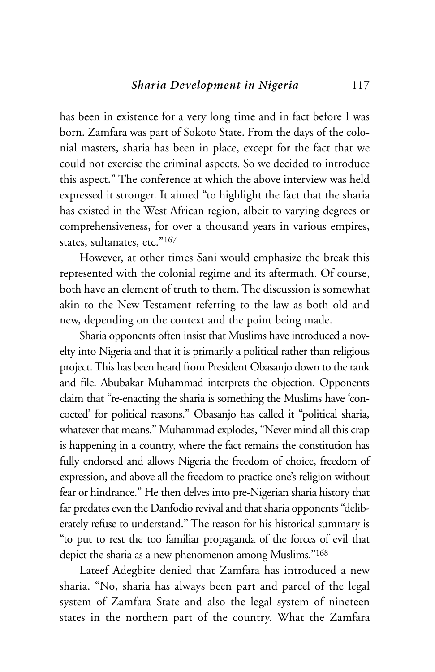has been in existence for a very long time and in fact before I was born. Zamfara was part of Sokoto State. From the days of the colonial masters, sharia has been in place, except for the fact that we could not exercise the criminal aspects. So we decided to introduce this aspect." The conference at which the above interview was held expressed it stronger. It aimed "to highlight the fact that the sharia has existed in the West African region, albeit to varying degrees or comprehensiveness, for over a thousand years in various empires, states, sultanates, etc."167

However, at other times Sani would emphasize the break this represented with the colonial regime and its aftermath. Of course, both have an element of truth to them. The discussion is somewhat akin to the New Testament referring to the law as both old and new, depending on the context and the point being made.

Sharia opponents often insist that Muslims have introduced a novelty into Nigeria and that it is primarily a political rather than religious project. This has been heard from President Obasanjo down to the rank and file. Abubakar Muhammad interprets the objection. Opponents claim that "re-enacting the sharia is something the Muslims have 'concocted' for political reasons." Obasanjo has called it "political sharia, whatever that means." Muhammad explodes, "Never mind all this crap is happening in a country, where the fact remains the constitution has fully endorsed and allows Nigeria the freedom of choice, freedom of expression, and above all the freedom to practice one's religion without fear or hindrance." He then delves into pre-Nigerian sharia history that far predates even the Danfodio revival and that sharia opponents "deliberately refuse to understand." The reason for his historical summary is "to put to rest the too familiar propaganda of the forces of evil that depict the sharia as a new phenomenon among Muslims."168

Lateef Adegbite denied that Zamfara has introduced a new sharia. "No, sharia has always been part and parcel of the legal system of Zamfara State and also the legal system of nineteen states in the northern part of the country. What the Zamfara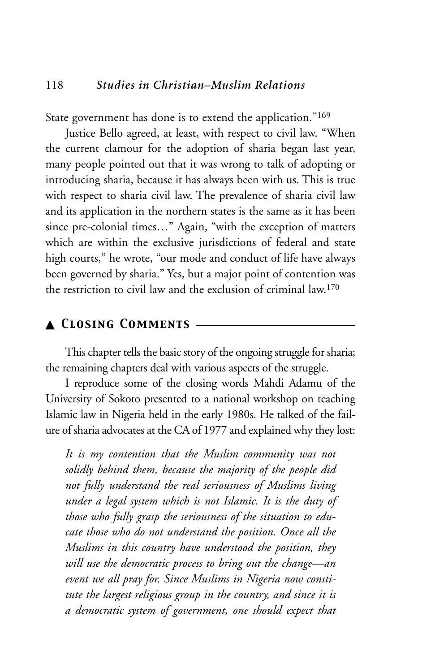State government has done is to extend the application."169

Justice Bello agreed, at least, with respect to civil law. "When the current clamour for the adoption of sharia began last year, many people pointed out that it was wrong to talk of adopting or introducing sharia, because it has always been with us. This is true with respect to sharia civil law. The prevalence of sharia civil law and its application in the northern states is the same as it has been since pre-colonial times…" Again, "with the exception of matters which are within the exclusive jurisdictions of federal and state high courts," he wrote, "our mode and conduct of life have always been governed by sharia." Yes, but a major point of contention was the restriction to civil law and the exclusion of criminal law.170

# ▲ *Closing Comments* \_\_\_\_\_\_\_\_\_\_\_\_\_\_\_\_\_\_\_\_\_\_\_\_\_\_\_\_\_

This chapter tells the basic story of the ongoing struggle for sharia; the remaining chapters deal with various aspects of the struggle.

I reproduce some of the closing words Mahdi Adamu of the University of Sokoto presented to a national workshop on teaching Islamic law in Nigeria held in the early 1980s. He talked of the failure of sharia advocates at the CA of 1977 and explained why they lost:

*It is my contention that the Muslim community was not solidly behind them, because the majority of the people did not fully understand the real seriousness of Muslims living under a legal system which is not Islamic. It is the duty of those who fully grasp the seriousness of the situation to educate those who do not understand the position. Once all the Muslims in this country have understood the position, they will use the democratic process to bring out the change—an event we all pray for. Since Muslims in Nigeria now constitute the largest religious group in the country, and since it is a democratic system of government, one should expect that*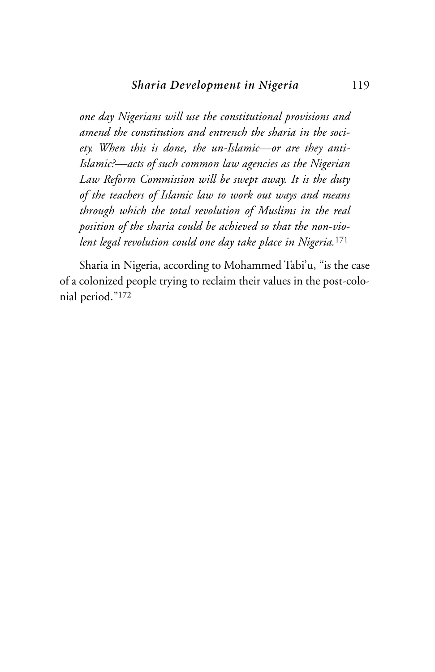*one day Nigerians will use the constitutional provisions and amend the constitution and entrench the sharia in the society. When this is done, the un-Islamic—or are they anti-Islamic?—acts of such common law agencies as the Nigerian Law Reform Commission will be swept away. It is the duty of the teachers of Islamic law to work out ways and means through which the total revolution of Muslims in the real position of the sharia could be achieved so that the non-violent legal revolution could one day take place in Nigeria.*<sup>171</sup>

Sharia in Nigeria, according to Mohammed Tabi'u, "is the case of a colonized people trying to reclaim their values in the post-colonial period."172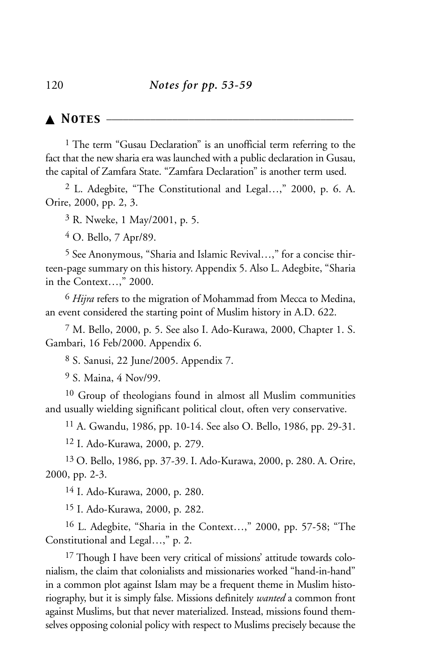▲ *Notes* \_\_\_\_\_\_\_\_\_\_\_\_\_\_\_\_\_\_\_\_\_\_\_\_\_\_\_\_\_\_\_\_\_\_\_\_\_\_\_\_\_\_\_\_\_

<sup>1</sup> The term "Gusau Declaration" is an unofficial term referring to the fact that the new sharia era was launched with a public declaration in Gusau, the capital of Zamfara State. "Zamfara Declaration" is another term used.

2 L. Adegbite, "The Constitutional and Legal…," 2000, p. 6. A. Orire, 2000, pp. 2, 3.

3 R. Nweke, 1 May/2001, p. 5.

4 O. Bello, 7 Apr/89.

5 See Anonymous, "Sharia and Islamic Revival…," for a concise thirteen-page summary on this history. Appendix 5. Also L. Adegbite, "Sharia in the Context…," 2000.

6 *Hijra* refers to the migration of Mohammad from Mecca to Medina, an event considered the starting point of Muslim history in A.D. 622.

7 M. Bello, 2000, p. 5. See also I. Ado-Kurawa, 2000, Chapter 1. S. Gambari, 16 Feb/2000. Appendix 6.

8 S. Sanusi, 22 June/2005. Appendix 7.

9 S. Maina, 4 Nov/99.

10 Group of theologians found in almost all Muslim communities and usually wielding significant political clout, often very conservative.

11 A. Gwandu, 1986, pp. 10-14. See also O. Bello, 1986, pp. 29-31.

12 I. Ado-Kurawa, 2000, p. 279.

13 O. Bello, 1986, pp. 37-39. I. Ado-Kurawa, 2000, p. 280. A. Orire, 2000, pp. 2-3.

14 I. Ado-Kurawa, 2000, p. 280.

15 I. Ado-Kurawa, 2000, p. 282.

16 L. Adegbite, "Sharia in the Context…," 2000, pp. 57-58; "The Constitutional and Legal…," p. 2.

<sup>17</sup> Though I have been very critical of missions' attitude towards colonialism, the claim that colonialists and missionaries worked "hand-in-hand" in a common plot against Islam may be a frequent theme in Muslim historiography, but it is simply false. Missions definitely *wanted* a common front against Muslims, but that never materialized. Instead, missions found themselves opposing colonial policy with respect to Muslims precisely because the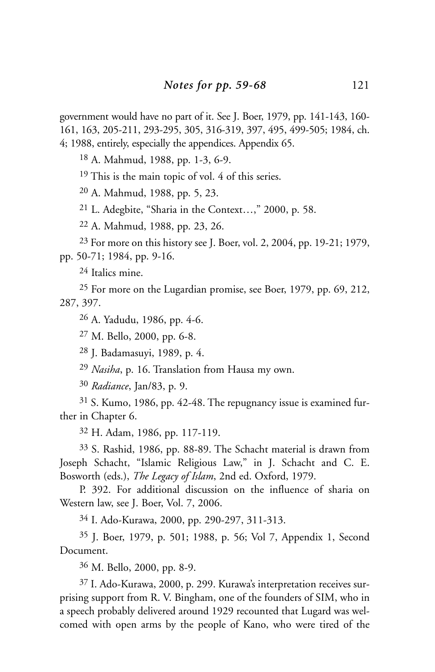government would have no part of it. See J. Boer, 1979, pp. 141-143, 160- 161, 163, 205-211, 293-295, 305, 316-319, 397, 495, 499-505; 1984, ch. 4; 1988, entirely, especially the appendices. Appendix 65.

18 A. Mahmud, 1988, pp. 1-3, 6-9.

<sup>19</sup> This is the main topic of vol. 4 of this series.

20 A. Mahmud, 1988, pp. 5, 23.

21 L. Adegbite, "Sharia in the Context…," 2000, p. 58.

22 A. Mahmud, 1988, pp. 23, 26.

23 For more on this history see J. Boer, vol. 2, 2004, pp. 19-21; 1979, pp. 50-71; 1984, pp. 9-16.

24 Italics mine.

25 For more on the Lugardian promise, see Boer, 1979, pp. 69, 212, 287, 397.

26 A. Yadudu, 1986, pp. 4-6.

27 M. Bello, 2000, pp. 6-8.

28 J. Badamasuyi, 1989, p. 4.

29 *Nasiha*, p. 16. Translation from Hausa my own.

30 *Radiance*, Jan/83, p. 9.

31 S. Kumo, 1986, pp. 42-48. The repugnancy issue is examined further in Chapter 6.

32 H. Adam, 1986, pp. 117-119.

33 S. Rashid, 1986, pp. 88-89. The Schacht material is drawn from Joseph Schacht, "Islamic Religious Law," in J. Schacht and C. E. Bosworth (eds.), *The Legacy of Islam*, 2nd ed. Oxford, 1979.

P. 392. For additional discussion on the influence of sharia on Western law, see J. Boer, Vol. 7, 2006.

34 I. Ado-Kurawa, 2000, pp. 290-297, 311-313.

35 J. Boer, 1979, p. 501; 1988, p. 56; Vol 7, Appendix 1, Second Document.

36 M. Bello, 2000, pp. 8-9.

37 I. Ado-Kurawa, 2000, p. 299. Kurawa's interpretation receives surprising support from R. V. Bingham, one of the founders of SIM, who in a speech probably delivered around 1929 recounted that Lugard was welcomed with open arms by the people of Kano, who were tired of the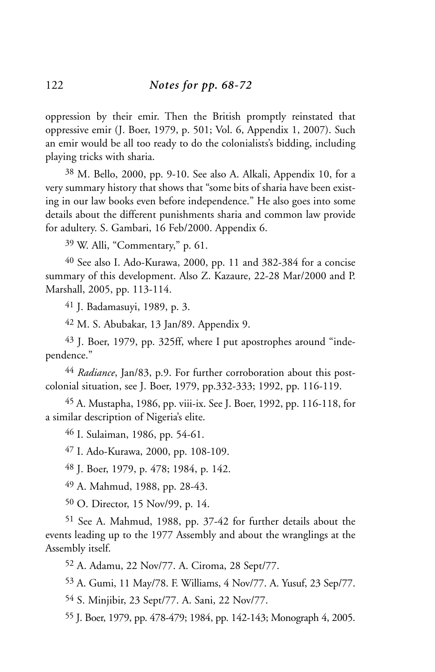oppression by their emir. Then the British promptly reinstated that oppressive emir (J. Boer, 1979, p. 501; Vol. 6, Appendix 1, 2007). Such an emir would be all too ready to do the colonialists's bidding, including playing tricks with sharia.

38 M. Bello, 2000, pp. 9-10. See also A. Alkali, Appendix 10, for a very summary history that shows that "some bits of sharia have been existing in our law books even before independence." He also goes into some details about the different punishments sharia and common law provide for adultery. S. Gambari, 16 Feb/2000. Appendix 6.

39 W. Alli, "Commentary," p. 61.

40 See also I. Ado-Kurawa, 2000, pp. 11 and 382-384 for a concise summary of this development. Also Z. Kazaure, 22-28 Mar/2000 and P. Marshall, 2005, pp. 113-114.

41 J. Badamasuyi, 1989, p. 3.

42 M. S. Abubakar, 13 Jan/89. Appendix 9.

43 J. Boer, 1979, pp. 325ff, where I put apostrophes around "independence."

44 *Radiance*, Jan/83, p.9. For further corroboration about this postcolonial situation, see J. Boer, 1979, pp.332-333; 1992, pp. 116-119.

45 A. Mustapha, 1986, pp. viii-ix. See J. Boer, 1992, pp. 116-118, for a similar description of Nigeria's elite.

46 I. Sulaiman, 1986, pp. 54-61.

47 I. Ado-Kurawa, 2000, pp. 108-109.

48 J. Boer, 1979, p. 478; 1984, p. 142.

49 A. Mahmud, 1988, pp. 28-43.

50 O. Director, 15 Nov/99, p. 14.

51 See A. Mahmud, 1988, pp. 37-42 for further details about the events leading up to the 1977 Assembly and about the wranglings at the Assembly itself.

52 A. Adamu, 22 Nov/77. A. Ciroma, 28 Sept/77.

53 A. Gumi, 11 May/78. F. Williams, 4 Nov/77. A. Yusuf, 23 Sep/77.

54 S. Minjibir, 23 Sept/77. A. Sani, 22 Nov/77.

55 J. Boer, 1979, pp. 478-479; 1984, pp. 142-143; Monograph 4, 2005.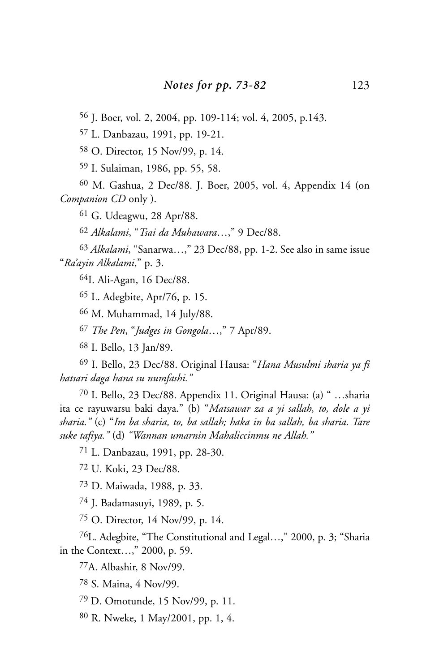J. Boer, vol. 2, 2004, pp. 109-114; vol. 4, 2005, p.143.

L. Danbazau, 1991, pp. 19-21.

O. Director, 15 Nov/99, p. 14.

I. Sulaiman, 1986, pp. 55, 58.

 M. Gashua, 2 Dec/88. J. Boer, 2005, vol. 4, Appendix 14 (on *Companion CD* only ).

G. Udeagwu, 28 Apr/88.

*Alkalami*, "*Tsai da Muhawara*…," 9 Dec/88.

 *Alkalami*, "Sanarwa…," 23 Dec/88, pp. 1-2. See also in same issue "*Ra'ayin Alkalami*," p. 3.

64I. Ali-Agan, 16 Dec/88.

L. Adegbite, Apr/76, p. 15.

M. Muhammad, 14 July/88.

*The Pen*, "*Judges in Gongola*…," 7 Apr/89.

I. Bello, 13 Jan/89.

 I. Bello, 23 Dec/88. Original Hausa: "*Hana Musulmi sharia ya fi hatsari daga hana su numfashi."*

 I. Bello, 23 Dec/88. Appendix 11. Original Hausa: (a) " …sharia ita ce rayuwarsu baki daya." (b) "*Matsawar za a yi sallah, to, dole a yi sharia."* (c) "*Im ba sharia, to, ba sallah; haka in ba sallah, ba sharia. Tare suke tafiya."* (d) *"Wannan umarnin Mahaliccinmu ne Allah."*

L. Danbazau, 1991, pp. 28-30.

U. Koki, 23 Dec/88.

D. Maiwada, 1988, p. 33.

J. Badamasuyi, 1989, p. 5.

O. Director, 14 Nov/99, p. 14.

76L. Adegbite, "The Constitutional and Legal…," 2000, p. 3; "Sharia in the Context…," 2000, p. 59.

77A. Albashir, 8 Nov/99.

S. Maina, 4 Nov/99.

79 D. Omotunde, 15 Nov/99, p. 11.

R. Nweke, 1 May/2001, pp. 1, 4.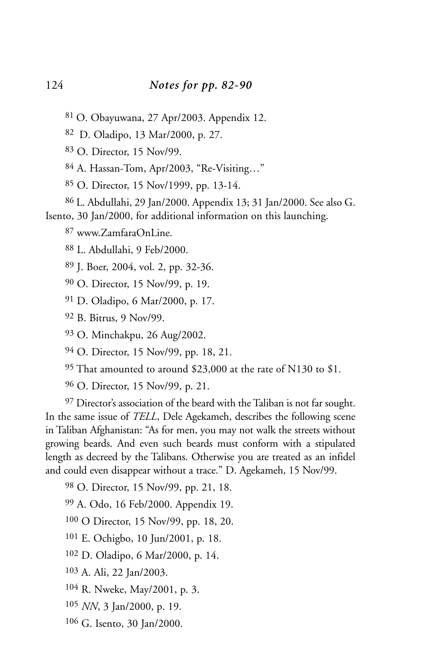- 81 O. Obayuwana, 27 Apr/2003. Appendix 12.
- 82 D. Oladipo, 13 Mar/2000, p. 27.
- O. Director, 15 Nov/99.
- A. Hassan-Tom, Apr/2003, "Re-Visiting…"
- O. Director, 15 Nov/1999, pp. 13-14.
- L. Abdullahi, 29 Jan/2000. Appendix 13; 31 Jan/2000. See also G.
- Isento, 30 Jan/2000, for additional information on this launching.
	- www.ZamfaraOnLine.
	- L. Abdullahi, 9 Feb/2000.
	- J. Boer, 2004, vol. 2, pp. 32-36.
	- O. Director, 15 Nov/99, p. 19.
	- D. Oladipo, 6 Mar/2000, p. 17.
	- B. Bitrus, 9 Nov/99.
	- O. Minchakpu, 26 Aug/2002.
	- O. Director, 15 Nov/99, pp. 18, 21.
	- That amounted to around \$23,000 at the rate of N130 to \$1.
	- O. Director, 15 Nov/99, p. 21.

 Director's association of the beard with the Taliban is not far sought. In the same issue of *TELL*, Dele Agekameh, describes the following scene in Taliban Afghanistan: "As for men, you may not walk the streets without growing beards. And even such beards must conform with a stipulated length as decreed by the Talibans. Otherwise you are treated as an infidel and could even disappear without a trace." D. Agekameh, 15 Nov/99.

- O. Director, 15 Nov/99, pp. 21, 18.
- A. Odo, 16 Feb/2000. Appendix 19.
- O Director, 15 Nov/99, pp. 18, 20.
- E. Ochigbo, 10 Jun/2001, p. 18.
- D. Oladipo, 6 Mar/2000, p. 14.
- A. Ali, 22 Jan/2003.
- R. Nweke, May/2001, p. 3.
- *NN*, 3 Jan/2000, p. 19.
- G. Isento, 30 Jan/2000.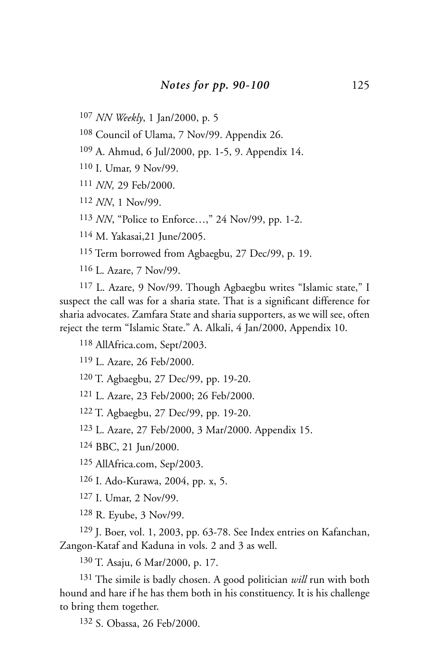*NN Weekly*, 1 Jan/2000, p. 5

Council of Ulama, 7 Nov/99. Appendix 26.

A. Ahmud, 6 Jul/2000, pp. 1-5, 9. Appendix 14.

I. Umar, 9 Nov/99.

*NN,* 29 Feb/2000.

*NN*, 1 Nov/99.

*NN*, "Police to Enforce…," 24 Nov/99, pp. 1-2.

M. Yakasai,21 June/2005.

Term borrowed from Agbaegbu, 27 Dec/99, p. 19.

L. Azare, 7 Nov/99.

 L. Azare, 9 Nov/99. Though Agbaegbu writes "Islamic state," I suspect the call was for a sharia state. That is a significant difference for sharia advocates. Zamfara State and sharia supporters, as we will see, often reject the term "Islamic State." A. Alkali, 4 Jan/2000, Appendix 10.

AllAfrica.com, Sept/2003.

L. Azare, 26 Feb/2000.

T. Agbaegbu, 27 Dec/99, pp. 19-20.

L. Azare, 23 Feb/2000; 26 Feb/2000.

T. Agbaegbu, 27 Dec/99, pp. 19-20.

L. Azare, 27 Feb/2000, 3 Mar/2000. Appendix 15.

BBC, 21 Jun/2000.

AllAfrica.com, Sep/2003.

I. Ado-Kurawa, 2004, pp. x, 5.

I. Umar, 2 Nov/99.

R. Eyube, 3 Nov/99.

 J. Boer, vol. 1, 2003, pp. 63-78. See Index entries on Kafanchan, Zangon-Kataf and Kaduna in vols. 2 and 3 as well.

T. Asaju, 6 Mar/2000, p. 17.

 The simile is badly chosen. A good politician *will* run with both hound and hare if he has them both in his constituency. It is his challenge to bring them together.

S. Obassa, 26 Feb/2000.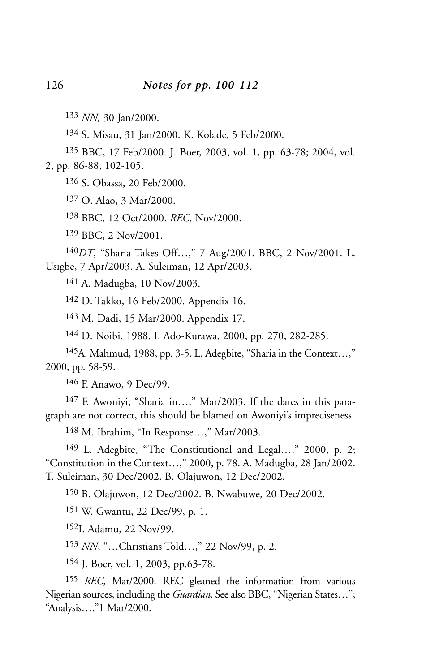*NN,* 30 Jan/2000.

S. Misau, 31 Jan/2000. K. Kolade, 5 Feb/2000.

 BBC, 17 Feb/2000. J. Boer, 2003, vol. 1, pp. 63-78; 2004, vol. 2, pp. 86-88, 102-105.

S. Obassa, 20 Feb/2000.

O. Alao, 3 Mar/2000.

BBC, 12 Oct/2000. *REC*, Nov/2000.

BBC, 2 Nov/2001.

*DT*, "Sharia Takes Off…," 7 Aug/2001. BBC, 2 Nov/2001. L. Usigbe, 7 Apr/2003. A. Suleiman, 12 Apr/2003.

A. Madugba, 10 Nov/2003.

D. Takko, 16 Feb/2000. Appendix 16.

M. Dadi, 15 Mar/2000. Appendix 17.

D. Noibi, 1988. I. Ado-Kurawa, 2000, pp. 270, 282-285.

145A. Mahmud, 1988, pp. 3-5. L. Adegbite, "Sharia in the Context…," 2000, pp. 58-59.

F. Anawo, 9 Dec/99.

 F. Awoniyi, "Sharia in…," Mar/2003. If the dates in this paragraph are not correct, this should be blamed on Awoniyi's impreciseness.

M. Ibrahim, "In Response…," Mar/2003.

 L. Adegbite, "The Constitutional and Legal…," 2000, p. 2; "Constitution in the Context…," 2000, p. 78. A. Madugba, 28 Jan/2002. T. Suleiman, 30 Dec/2002. B. Olajuwon, 12 Dec/2002.

B. Olajuwon, 12 Dec/2002. B. Nwabuwe, 20 Dec/2002.

W. Gwantu, 22 Dec/99, p. 1.

152I. Adamu, 22 Nov/99.

*NN*, "…Christians Told…," 22 Nov/99, p. 2.

J. Boer, vol. 1, 2003, pp.63-78.

 *REC*, Mar/2000. REC gleaned the information from various Nigerian sources, including the *Guardian*. See also BBC, "Nigerian States…"; "Analysis…,"1 Mar/2000.